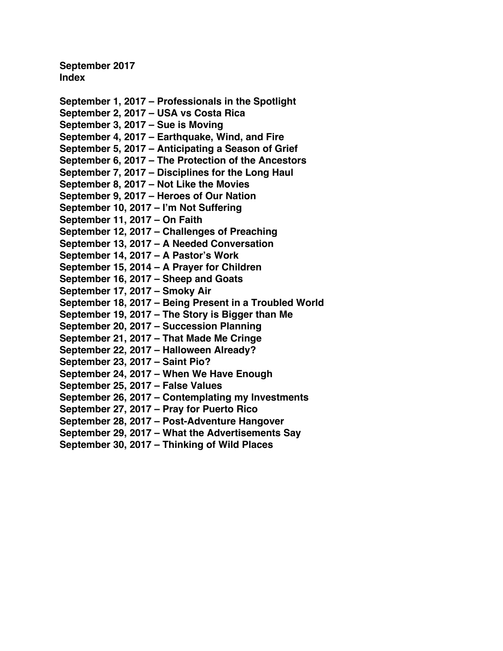**September 2017 Index**

**September 1, 2017 – [Professionals in the Spotlight](#page-1-0) [September 2, 2017 –](#page-3-0) USA vs Costa Rica [September 3, 2017 –](#page-5-0) Sue is Moving September 4, 2017 – [Earthquake, Wind, and Fire](#page-7-0) September 5, 2017 – [Anticipating a Season of Grief](#page-9-0) September 6, 2017 – [The Protection of the Ancestors](#page-11-0) September 7, 2017 – [Disciplines for the Long Haul](#page-13-0) [September 8, 2017 –](#page-15-0) Not Like the Movies September 9, 2017 – [Heroes of Our Nation](#page-17-0) [September 10, 2017 –](#page-19-0) I'm Not Suffering [September 11, 2017 –](#page-21-0) On Faith September 12, 2017 – [Challenges of Preaching](#page-23-0) September 13, 2017 – [A Needed Conversation](#page-26-0) [September 14, 2017 –](#page-28-0) A Pastor's Work [September 15, 2014 –](#page-30-0) A Prayer for Children [September 16, 2017 –](#page-32-0) Sheep and Goats [September 17, 2017 –](#page-34-0) Smoky Air September 18, 2017 – [Being Present in a Troubled World](#page-36-0) September 19, 2017 – [The Story is Bigger than Me](#page-38-0) [September 20, 2017 –](#page-41-0) Succession Planning [September 21, 2017 –](#page-43-0) That Made Me Cringe [September 22, 2017 –](#page-45-0) Halloween Already? [September 23, 2017 –](#page-47-0) Saint Pio? September 24, 2017 – [When We Have Enough](#page-49-0) [September 25, 2017 –](#page-51-0) False Values September 26, 2017 – [Contemplating my Investments](#page-53-0) [September 27, 2017 –](#page-55-0) Pray for Puerto Rico September 28, 2017 – [Post-Adventure Hangover](#page-58-0) September 29, 2017 – [What the Advertisements Say](#page-60-0)**

**September 30, 2017 – [Thinking of Wild Places](#page-62-0)**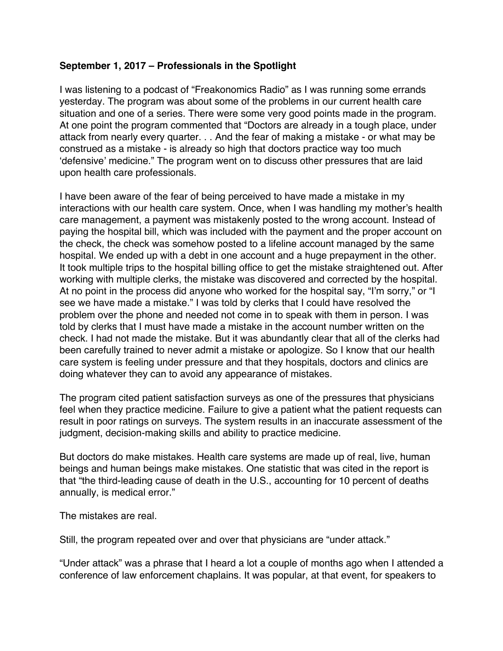# <span id="page-1-0"></span>**September 1, 2017 – Professionals in the Spotlight**

I was listening to a podcast of "Freakonomics Radio" as I was running some errands yesterday. The program was about some of the problems in our current health care situation and one of a series. There were some very good points made in the program. At one point the program commented that "Doctors are already in a tough place, under attack from nearly every quarter. . . And the fear of making a mistake - or what may be construed as a mistake - is already so high that doctors practice way too much 'defensive' medicine." The program went on to discuss other pressures that are laid upon health care professionals.

I have been aware of the fear of being perceived to have made a mistake in my interactions with our health care system. Once, when I was handling my mother's health care management, a payment was mistakenly posted to the wrong account. Instead of paying the hospital bill, which was included with the payment and the proper account on the check, the check was somehow posted to a lifeline account managed by the same hospital. We ended up with a debt in one account and a huge prepayment in the other. It took multiple trips to the hospital billing office to get the mistake straightened out. After working with multiple clerks, the mistake was discovered and corrected by the hospital. At no point in the process did anyone who worked for the hospital say, "I'm sorry," or "I see we have made a mistake." I was told by clerks that I could have resolved the problem over the phone and needed not come in to speak with them in person. I was told by clerks that I must have made a mistake in the account number written on the check. I had not made the mistake. But it was abundantly clear that all of the clerks had been carefully trained to never admit a mistake or apologize. So I know that our health care system is feeling under pressure and that they hospitals, doctors and clinics are doing whatever they can to avoid any appearance of mistakes.

The program cited patient satisfaction surveys as one of the pressures that physicians feel when they practice medicine. Failure to give a patient what the patient requests can result in poor ratings on surveys. The system results in an inaccurate assessment of the judgment, decision-making skills and ability to practice medicine.

But doctors do make mistakes. Health care systems are made up of real, live, human beings and human beings make mistakes. One statistic that was cited in the report is that "the third-leading cause of death in the U.S., accounting for 10 percent of deaths annually, is medical error."

The mistakes are real.

Still, the program repeated over and over that physicians are "under attack."

"Under attack" was a phrase that I heard a lot a couple of months ago when I attended a conference of law enforcement chaplains. It was popular, at that event, for speakers to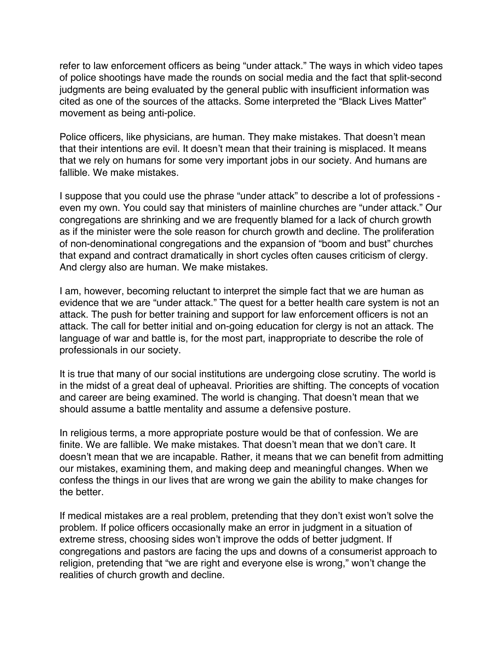refer to law enforcement officers as being "under attack." The ways in which video tapes of police shootings have made the rounds on social media and the fact that split-second judgments are being evaluated by the general public with insufficient information was cited as one of the sources of the attacks. Some interpreted the "Black Lives Matter" movement as being anti-police.

Police officers, like physicians, are human. They make mistakes. That doesn't mean that their intentions are evil. It doesn't mean that their training is misplaced. It means that we rely on humans for some very important jobs in our society. And humans are fallible. We make mistakes.

I suppose that you could use the phrase "under attack" to describe a lot of professions even my own. You could say that ministers of mainline churches are "under attack." Our congregations are shrinking and we are frequently blamed for a lack of church growth as if the minister were the sole reason for church growth and decline. The proliferation of non-denominational congregations and the expansion of "boom and bust" churches that expand and contract dramatically in short cycles often causes criticism of clergy. And clergy also are human. We make mistakes.

I am, however, becoming reluctant to interpret the simple fact that we are human as evidence that we are "under attack." The quest for a better health care system is not an attack. The push for better training and support for law enforcement officers is not an attack. The call for better initial and on-going education for clergy is not an attack. The language of war and battle is, for the most part, inappropriate to describe the role of professionals in our society.

It is true that many of our social institutions are undergoing close scrutiny. The world is in the midst of a great deal of upheaval. Priorities are shifting. The concepts of vocation and career are being examined. The world is changing. That doesn't mean that we should assume a battle mentality and assume a defensive posture.

In religious terms, a more appropriate posture would be that of confession. We are finite. We are fallible. We make mistakes. That doesn't mean that we don't care. It doesn't mean that we are incapable. Rather, it means that we can benefit from admitting our mistakes, examining them, and making deep and meaningful changes. When we confess the things in our lives that are wrong we gain the ability to make changes for the better.

If medical mistakes are a real problem, pretending that they don't exist won't solve the problem. If police officers occasionally make an error in judgment in a situation of extreme stress, choosing sides won't improve the odds of better judgment. If congregations and pastors are facing the ups and downs of a consumerist approach to religion, pretending that "we are right and everyone else is wrong," won't change the realities of church growth and decline.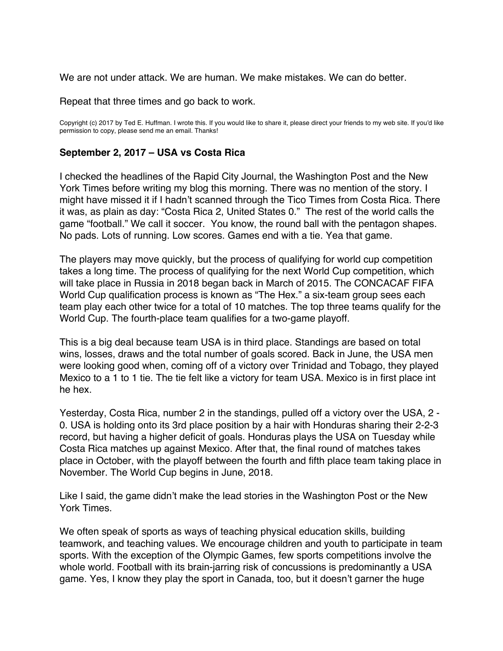<span id="page-3-0"></span>We are not under attack. We are human. We make mistakes. We can do better.

Repeat that three times and go back to work.

Copyright (c) 2017 by Ted E. Huffman. I wrote this. If you would like to share it, please direct your friends to my web site. If you'd like permission to copy, please send me an email. Thanks!

#### **September 2, 2017 – USA vs Costa Rica**

I checked the headlines of the Rapid City Journal, the Washington Post and the New York Times before writing my blog this morning. There was no mention of the story. I might have missed it if I hadn't scanned through the Tico Times from Costa Rica. There it was, as plain as day: "Costa Rica 2, United States 0." The rest of the world calls the game "football." We call it soccer. You know, the round ball with the pentagon shapes. No pads. Lots of running. Low scores. Games end with a tie. Yea that game.

The players may move quickly, but the process of qualifying for world cup competition takes a long time. The process of qualifying for the next World Cup competition, which will take place in Russia in 2018 began back in March of 2015. The CONCACAF FIFA World Cup qualification process is known as "The Hex." a six-team group sees each team play each other twice for a total of 10 matches. The top three teams qualify for the World Cup. The fourth-place team qualifies for a two-game playoff.

This is a big deal because team USA is in third place. Standings are based on total wins, losses, draws and the total number of goals scored. Back in June, the USA men were looking good when, coming off of a victory over Trinidad and Tobago, they played Mexico to a 1 to 1 tie. The tie felt like a victory for team USA. Mexico is in first place int he hex.

Yesterday, Costa Rica, number 2 in the standings, pulled off a victory over the USA, 2 - 0. USA is holding onto its 3rd place position by a hair with Honduras sharing their 2-2-3 record, but having a higher deficit of goals. Honduras plays the USA on Tuesday while Costa Rica matches up against Mexico. After that, the final round of matches takes place in October, with the playoff between the fourth and fifth place team taking place in November. The World Cup begins in June, 2018.

Like I said, the game didn't make the lead stories in the Washington Post or the New York Times.

We often speak of sports as ways of teaching physical education skills, building teamwork, and teaching values. We encourage children and youth to participate in team sports. With the exception of the Olympic Games, few sports competitions involve the whole world. Football with its brain-jarring risk of concussions is predominantly a USA game. Yes, I know they play the sport in Canada, too, but it doesn't garner the huge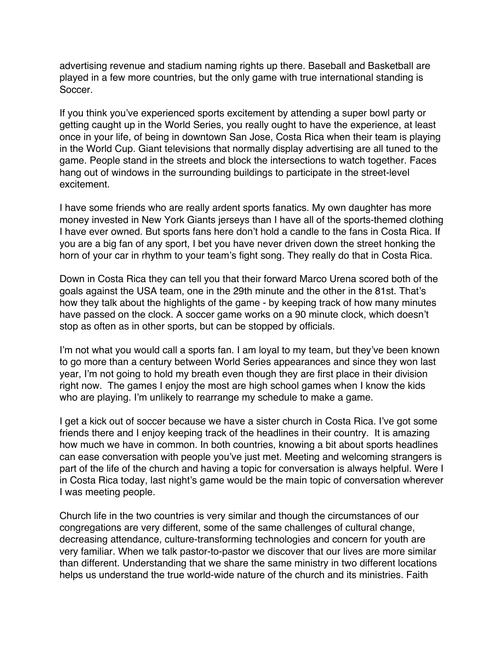advertising revenue and stadium naming rights up there. Baseball and Basketball are played in a few more countries, but the only game with true international standing is Soccer.

If you think you've experienced sports excitement by attending a super bowl party or getting caught up in the World Series, you really ought to have the experience, at least once in your life, of being in downtown San Jose, Costa Rica when their team is playing in the World Cup. Giant televisions that normally display advertising are all tuned to the game. People stand in the streets and block the intersections to watch together. Faces hang out of windows in the surrounding buildings to participate in the street-level excitement.

I have some friends who are really ardent sports fanatics. My own daughter has more money invested in New York Giants jerseys than I have all of the sports-themed clothing I have ever owned. But sports fans here don't hold a candle to the fans in Costa Rica. If you are a big fan of any sport, I bet you have never driven down the street honking the horn of your car in rhythm to your team's fight song. They really do that in Costa Rica.

Down in Costa Rica they can tell you that their forward Marco Urena scored both of the goals against the USA team, one in the 29th minute and the other in the 81st. That's how they talk about the highlights of the game - by keeping track of how many minutes have passed on the clock. A soccer game works on a 90 minute clock, which doesn't stop as often as in other sports, but can be stopped by officials.

I'm not what you would call a sports fan. I am loyal to my team, but they've been known to go more than a century between World Series appearances and since they won last year, I'm not going to hold my breath even though they are first place in their division right now. The games I enjoy the most are high school games when I know the kids who are playing. I'm unlikely to rearrange my schedule to make a game.

I get a kick out of soccer because we have a sister church in Costa Rica. I've got some friends there and I enjoy keeping track of the headlines in their country. It is amazing how much we have in common. In both countries, knowing a bit about sports headlines can ease conversation with people you've just met. Meeting and welcoming strangers is part of the life of the church and having a topic for conversation is always helpful. Were I in Costa Rica today, last night's game would be the main topic of conversation wherever I was meeting people.

Church life in the two countries is very similar and though the circumstances of our congregations are very different, some of the same challenges of cultural change, decreasing attendance, culture-transforming technologies and concern for youth are very familiar. When we talk pastor-to-pastor we discover that our lives are more similar than different. Understanding that we share the same ministry in two different locations helps us understand the true world-wide nature of the church and its ministries. Faith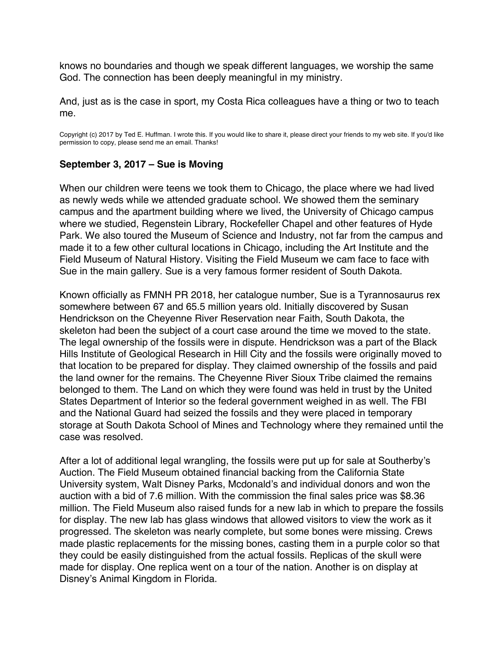<span id="page-5-0"></span>knows no boundaries and though we speak different languages, we worship the same God. The connection has been deeply meaningful in my ministry.

And, just as is the case in sport, my Costa Rica colleagues have a thing or two to teach me.

Copyright (c) 2017 by Ted E. Huffman. I wrote this. If you would like to share it, please direct your friends to my web site. If you'd like permission to copy, please send me an email. Thanks!

### **September 3, 2017 – Sue is Moving**

When our children were teens we took them to Chicago, the place where we had lived as newly weds while we attended graduate school. We showed them the seminary campus and the apartment building where we lived, the University of Chicago campus where we studied, Regenstein Library, Rockefeller Chapel and other features of Hyde Park. We also toured the Museum of Science and Industry, not far from the campus and made it to a few other cultural locations in Chicago, including the Art Institute and the Field Museum of Natural History. Visiting the Field Museum we cam face to face with Sue in the main gallery. Sue is a very famous former resident of South Dakota.

Known officially as FMNH PR 2018, her catalogue number, Sue is a Tyrannosaurus rex somewhere between 67 and 65.5 million years old. Initially discovered by Susan Hendrickson on the Cheyenne River Reservation near Faith, South Dakota, the skeleton had been the subject of a court case around the time we moved to the state. The legal ownership of the fossils were in dispute. Hendrickson was a part of the Black Hills Institute of Geological Research in Hill City and the fossils were originally moved to that location to be prepared for display. They claimed ownership of the fossils and paid the land owner for the remains. The Cheyenne River Sioux Tribe claimed the remains belonged to them. The Land on which they were found was held in trust by the United States Department of Interior so the federal government weighed in as well. The FBI and the National Guard had seized the fossils and they were placed in temporary storage at South Dakota School of Mines and Technology where they remained until the case was resolved.

After a lot of additional legal wrangling, the fossils were put up for sale at Southerby's Auction. The Field Museum obtained financial backing from the California State University system, Walt Disney Parks, Mcdonald's and individual donors and won the auction with a bid of 7.6 million. With the commission the final sales price was \$8.36 million. The Field Museum also raised funds for a new lab in which to prepare the fossils for display. The new lab has glass windows that allowed visitors to view the work as it progressed. The skeleton was nearly complete, but some bones were missing. Crews made plastic replacements for the missing bones, casting them in a purple color so that they could be easily distinguished from the actual fossils. Replicas of the skull were made for display. One replica went on a tour of the nation. Another is on display at Disney's Animal Kingdom in Florida.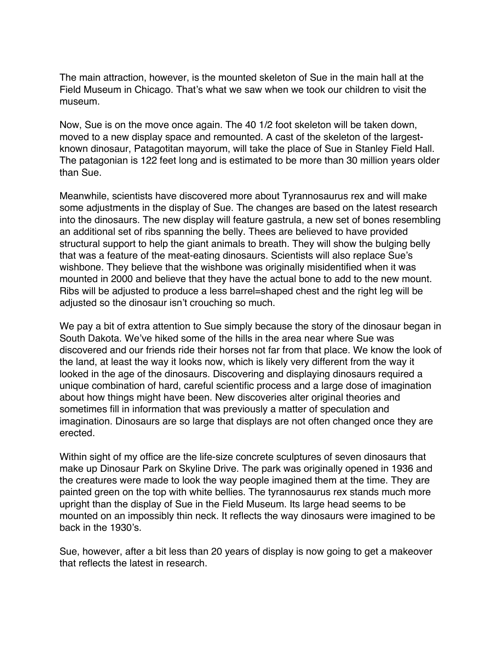The main attraction, however, is the mounted skeleton of Sue in the main hall at the Field Museum in Chicago. That's what we saw when we took our children to visit the museum.

Now, Sue is on the move once again. The 40 1/2 foot skeleton will be taken down, moved to a new display space and remounted. A cast of the skeleton of the largestknown dinosaur, Patagotitan mayorum, will take the place of Sue in Stanley Field Hall. The patagonian is 122 feet long and is estimated to be more than 30 million years older than Sue.

Meanwhile, scientists have discovered more about Tyrannosaurus rex and will make some adjustments in the display of Sue. The changes are based on the latest research into the dinosaurs. The new display will feature gastrula, a new set of bones resembling an additional set of ribs spanning the belly. Thees are believed to have provided structural support to help the giant animals to breath. They will show the bulging belly that was a feature of the meat-eating dinosaurs. Scientists will also replace Sue's wishbone. They believe that the wishbone was originally misidentified when it was mounted in 2000 and believe that they have the actual bone to add to the new mount. Ribs will be adjusted to produce a less barrel=shaped chest and the right leg will be adjusted so the dinosaur isn't crouching so much.

We pay a bit of extra attention to Sue simply because the story of the dinosaur began in South Dakota. We've hiked some of the hills in the area near where Sue was discovered and our friends ride their horses not far from that place. We know the look of the land, at least the way it looks now, which is likely very different from the way it looked in the age of the dinosaurs. Discovering and displaying dinosaurs required a unique combination of hard, careful scientific process and a large dose of imagination about how things might have been. New discoveries alter original theories and sometimes fill in information that was previously a matter of speculation and imagination. Dinosaurs are so large that displays are not often changed once they are erected.

Within sight of my office are the life-size concrete sculptures of seven dinosaurs that make up Dinosaur Park on Skyline Drive. The park was originally opened in 1936 and the creatures were made to look the way people imagined them at the time. They are painted green on the top with white bellies. The tyrannosaurus rex stands much more upright than the display of Sue in the Field Museum. Its large head seems to be mounted on an impossibly thin neck. It reflects the way dinosaurs were imagined to be back in the 1930's.

Sue, however, after a bit less than 20 years of display is now going to get a makeover that reflects the latest in research.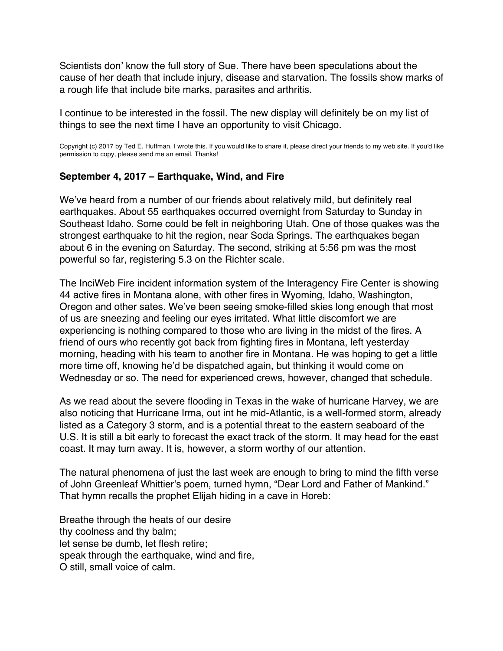<span id="page-7-0"></span>Scientists don' know the full story of Sue. There have been speculations about the cause of her death that include injury, disease and starvation. The fossils show marks of a rough life that include bite marks, parasites and arthritis.

I continue to be interested in the fossil. The new display will definitely be on my list of things to see the next time I have an opportunity to visit Chicago.

Copyright (c) 2017 by Ted E. Huffman. I wrote this. If you would like to share it, please direct your friends to my web site. If you'd like permission to copy, please send me an email. Thanks!

### **September 4, 2017 – Earthquake, Wind, and Fire**

We've heard from a number of our friends about relatively mild, but definitely real earthquakes. About 55 earthquakes occurred overnight from Saturday to Sunday in Southeast Idaho. Some could be felt in neighboring Utah. One of those quakes was the strongest earthquake to hit the region, near Soda Springs. The earthquakes began about 6 in the evening on Saturday. The second, striking at 5:56 pm was the most powerful so far, registering 5.3 on the Richter scale.

The InciWeb Fire incident information system of the Interagency Fire Center is showing 44 active fires in Montana alone, with other fires in Wyoming, Idaho, Washington, Oregon and other sates. We've been seeing smoke-filled skies long enough that most of us are sneezing and feeling our eyes irritated. What little discomfort we are experiencing is nothing compared to those who are living in the midst of the fires. A friend of ours who recently got back from fighting fires in Montana, left yesterday morning, heading with his team to another fire in Montana. He was hoping to get a little more time off, knowing he'd be dispatched again, but thinking it would come on Wednesday or so. The need for experienced crews, however, changed that schedule.

As we read about the severe flooding in Texas in the wake of hurricane Harvey, we are also noticing that Hurricane Irma, out int he mid-Atlantic, is a well-formed storm, already listed as a Category 3 storm, and is a potential threat to the eastern seaboard of the U.S. It is still a bit early to forecast the exact track of the storm. It may head for the east coast. It may turn away. It is, however, a storm worthy of our attention.

The natural phenomena of just the last week are enough to bring to mind the fifth verse of John Greenleaf Whittier's poem, turned hymn, "Dear Lord and Father of Mankind." That hymn recalls the prophet Elijah hiding in a cave in Horeb:

Breathe through the heats of our desire thy coolness and thy balm; let sense be dumb, let flesh retire; speak through the earthquake, wind and fire, O still, small voice of calm.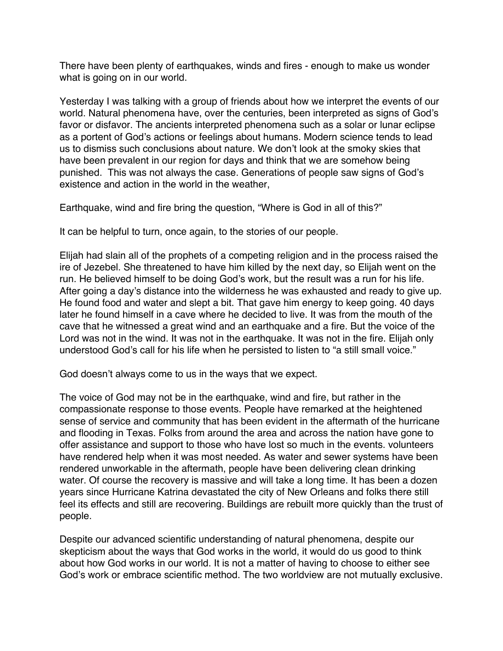There have been plenty of earthquakes, winds and fires - enough to make us wonder what is going on in our world.

Yesterday I was talking with a group of friends about how we interpret the events of our world. Natural phenomena have, over the centuries, been interpreted as signs of God's favor or disfavor. The ancients interpreted phenomena such as a solar or lunar eclipse as a portent of God's actions or feelings about humans. Modern science tends to lead us to dismiss such conclusions about nature. We don't look at the smoky skies that have been prevalent in our region for days and think that we are somehow being punished. This was not always the case. Generations of people saw signs of God's existence and action in the world in the weather,

Earthquake, wind and fire bring the question, "Where is God in all of this?"

It can be helpful to turn, once again, to the stories of our people.

Elijah had slain all of the prophets of a competing religion and in the process raised the ire of Jezebel. She threatened to have him killed by the next day, so Elijah went on the run. He believed himself to be doing God's work, but the result was a run for his life. After going a day's distance into the wilderness he was exhausted and ready to give up. He found food and water and slept a bit. That gave him energy to keep going. 40 days later he found himself in a cave where he decided to live. It was from the mouth of the cave that he witnessed a great wind and an earthquake and a fire. But the voice of the Lord was not in the wind. It was not in the earthquake. It was not in the fire. Elijah only understood God's call for his life when he persisted to listen to "a still small voice."

God doesn't always come to us in the ways that we expect.

The voice of God may not be in the earthquake, wind and fire, but rather in the compassionate response to those events. People have remarked at the heightened sense of service and community that has been evident in the aftermath of the hurricane and flooding in Texas. Folks from around the area and across the nation have gone to offer assistance and support to those who have lost so much in the events. volunteers have rendered help when it was most needed. As water and sewer systems have been rendered unworkable in the aftermath, people have been delivering clean drinking water. Of course the recovery is massive and will take a long time. It has been a dozen years since Hurricane Katrina devastated the city of New Orleans and folks there still feel its effects and still are recovering. Buildings are rebuilt more quickly than the trust of people.

Despite our advanced scientific understanding of natural phenomena, despite our skepticism about the ways that God works in the world, it would do us good to think about how God works in our world. It is not a matter of having to choose to either see God's work or embrace scientific method. The two worldview are not mutually exclusive.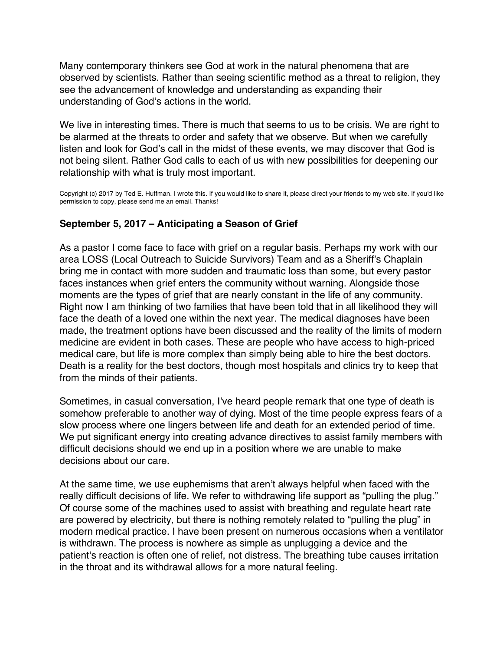<span id="page-9-0"></span>Many contemporary thinkers see God at work in the natural phenomena that are observed by scientists. Rather than seeing scientific method as a threat to religion, they see the advancement of knowledge and understanding as expanding their understanding of God's actions in the world.

We live in interesting times. There is much that seems to us to be crisis. We are right to be alarmed at the threats to order and safety that we observe. But when we carefully listen and look for God's call in the midst of these events, we may discover that God is not being silent. Rather God calls to each of us with new possibilities for deepening our relationship with what is truly most important.

Copyright (c) 2017 by Ted E. Huffman. I wrote this. If you would like to share it, please direct your friends to my web site. If you'd like permission to copy, please send me an email. Thanks!

### **September 5, 2017 – Anticipating a Season of Grief**

As a pastor I come face to face with grief on a regular basis. Perhaps my work with our area LOSS (Local Outreach to Suicide Survivors) Team and as a Sheriff's Chaplain bring me in contact with more sudden and traumatic loss than some, but every pastor faces instances when grief enters the community without warning. Alongside those moments are the types of grief that are nearly constant in the life of any community. Right now I am thinking of two families that have been told that in all likelihood they will face the death of a loved one within the next year. The medical diagnoses have been made, the treatment options have been discussed and the reality of the limits of modern medicine are evident in both cases. These are people who have access to high-priced medical care, but life is more complex than simply being able to hire the best doctors. Death is a reality for the best doctors, though most hospitals and clinics try to keep that from the minds of their patients.

Sometimes, in casual conversation, I've heard people remark that one type of death is somehow preferable to another way of dying. Most of the time people express fears of a slow process where one lingers between life and death for an extended period of time. We put significant energy into creating advance directives to assist family members with difficult decisions should we end up in a position where we are unable to make decisions about our care.

At the same time, we use euphemisms that aren't always helpful when faced with the really difficult decisions of life. We refer to withdrawing life support as "pulling the plug." Of course some of the machines used to assist with breathing and regulate heart rate are powered by electricity, but there is nothing remotely related to "pulling the plug" in modern medical practice. I have been present on numerous occasions when a ventilator is withdrawn. The process is nowhere as simple as unplugging a device and the patient's reaction is often one of relief, not distress. The breathing tube causes irritation in the throat and its withdrawal allows for a more natural feeling.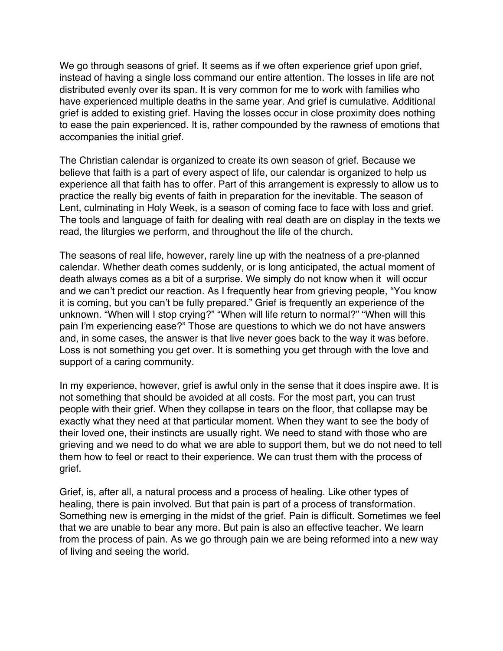We go through seasons of grief. It seems as if we often experience grief upon grief, instead of having a single loss command our entire attention. The losses in life are not distributed evenly over its span. It is very common for me to work with families who have experienced multiple deaths in the same year. And grief is cumulative. Additional grief is added to existing grief. Having the losses occur in close proximity does nothing to ease the pain experienced. It is, rather compounded by the rawness of emotions that accompanies the initial grief.

The Christian calendar is organized to create its own season of grief. Because we believe that faith is a part of every aspect of life, our calendar is organized to help us experience all that faith has to offer. Part of this arrangement is expressly to allow us to practice the really big events of faith in preparation for the inevitable. The season of Lent, culminating in Holy Week, is a season of coming face to face with loss and grief. The tools and language of faith for dealing with real death are on display in the texts we read, the liturgies we perform, and throughout the life of the church.

The seasons of real life, however, rarely line up with the neatness of a pre-planned calendar. Whether death comes suddenly, or is long anticipated, the actual moment of death always comes as a bit of a surprise. We simply do not know when it will occur and we can't predict our reaction. As I frequently hear from grieving people, "You know it is coming, but you can't be fully prepared." Grief is frequently an experience of the unknown. "When will I stop crying?" "When will life return to normal?" "When will this pain I'm experiencing ease?" Those are questions to which we do not have answers and, in some cases, the answer is that live never goes back to the way it was before. Loss is not something you get over. It is something you get through with the love and support of a caring community.

In my experience, however, grief is awful only in the sense that it does inspire awe. It is not something that should be avoided at all costs. For the most part, you can trust people with their grief. When they collapse in tears on the floor, that collapse may be exactly what they need at that particular moment. When they want to see the body of their loved one, their instincts are usually right. We need to stand with those who are grieving and we need to do what we are able to support them, but we do not need to tell them how to feel or react to their experience. We can trust them with the process of grief.

Grief, is, after all, a natural process and a process of healing. Like other types of healing, there is pain involved. But that pain is part of a process of transformation. Something new is emerging in the midst of the grief. Pain is difficult. Sometimes we feel that we are unable to bear any more. But pain is also an effective teacher. We learn from the process of pain. As we go through pain we are being reformed into a new way of living and seeing the world.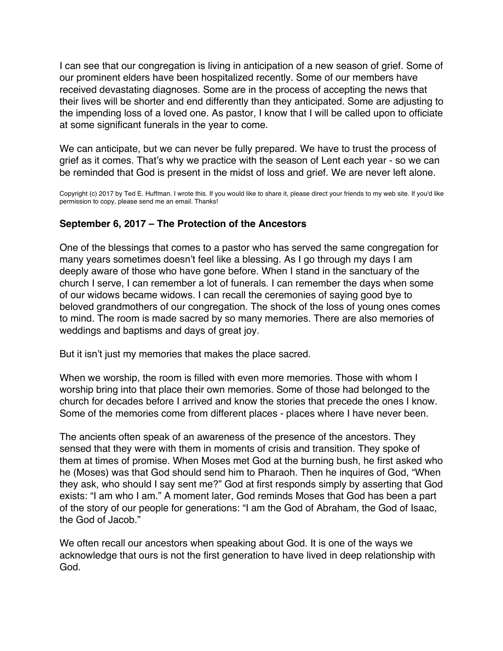<span id="page-11-0"></span>I can see that our congregation is living in anticipation of a new season of grief. Some of our prominent elders have been hospitalized recently. Some of our members have received devastating diagnoses. Some are in the process of accepting the news that their lives will be shorter and end differently than they anticipated. Some are adjusting to the impending loss of a loved one. As pastor, I know that I will be called upon to officiate at some significant funerals in the year to come.

We can anticipate, but we can never be fully prepared. We have to trust the process of grief as it comes. That's why we practice with the season of Lent each year - so we can be reminded that God is present in the midst of loss and grief. We are never left alone.

Copyright (c) 2017 by Ted E. Huffman. I wrote this. If you would like to share it, please direct your friends to my web site. If you'd like permission to copy, please send me an email. Thanks!

# **September 6, 2017 – The Protection of the Ancestors**

One of the blessings that comes to a pastor who has served the same congregation for many years sometimes doesn't feel like a blessing. As I go through my days I am deeply aware of those who have gone before. When I stand in the sanctuary of the church I serve, I can remember a lot of funerals. I can remember the days when some of our widows became widows. I can recall the ceremonies of saying good bye to beloved grandmothers of our congregation. The shock of the loss of young ones comes to mind. The room is made sacred by so many memories. There are also memories of weddings and baptisms and days of great joy.

But it isn't just my memories that makes the place sacred.

When we worship, the room is filled with even more memories. Those with whom I worship bring into that place their own memories. Some of those had belonged to the church for decades before I arrived and know the stories that precede the ones I know. Some of the memories come from different places - places where I have never been.

The ancients often speak of an awareness of the presence of the ancestors. They sensed that they were with them in moments of crisis and transition. They spoke of them at times of promise. When Moses met God at the burning bush, he first asked who he (Moses) was that God should send him to Pharaoh. Then he inquires of God, "When they ask, who should I say sent me?" God at first responds simply by asserting that God exists: "I am who I am." A moment later, God reminds Moses that God has been a part of the story of our people for generations: "I am the God of Abraham, the God of Isaac, the God of Jacob."

We often recall our ancestors when speaking about God. It is one of the ways we acknowledge that ours is not the first generation to have lived in deep relationship with God.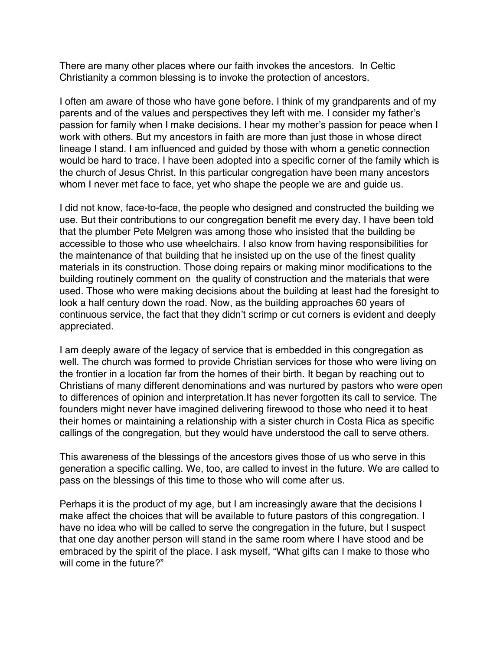There are many other places where our faith invokes the ancestors. In Celtic Christianity a common blessing is to invoke the protection of ancestors.

I often am aware of those who have gone before. I think of my grandparents and of my parents and of the values and perspectives they left with me. I consider my father's passion for family when I make decisions. I hear my mother's passion for peace when I work with others. But my ancestors in faith are more than just those in whose direct lineage I stand. I am influenced and guided by those with whom a genetic connection would be hard to trace. I have been adopted into a specific corner of the family which is the church of Jesus Christ. In this particular congregation have been many ancestors whom I never met face to face, yet who shape the people we are and guide us.

I did not know, face-to-face, the people who designed and constructed the building we use. But their contributions to our congregation benefit me every day. I have been told that the plumber Pete Melgren was among those who insisted that the building be accessible to those who use wheelchairs. I also know from having responsibilities for the maintenance of that building that he insisted up on the use of the finest quality materials in its construction. Those doing repairs or making minor modifications to the building routinely comment on the quality of construction and the materials that were used. Those who were making decisions about the building at least had the foresight to look a half century down the road. Now, as the building approaches 60 years of continuous service, the fact that they didn't scrimp or cut corners is evident and deeply appreciated.

I am deeply aware of the legacy of service that is embedded in this congregation as well. The church was formed to provide Christian services for those who were living on the frontier in a location far from the homes of their birth. It began by reaching out to Christians of many different denominations and was nurtured by pastors who were open to differences of opinion and interpretation.It has never forgotten its call to service. The founders might never have imagined delivering firewood to those who need it to heat their homes or maintaining a relationship with a sister church in Costa Rica as specific callings of the congregation, but they would have understood the call to serve others.

This awareness of the blessings of the ancestors gives those of us who serve in this generation a specific calling. We, too, are called to invest in the future. We are called to pass on the blessings of this time to those who will come after us.

Perhaps it is the product of my age, but I am increasingly aware that the decisions I make affect the choices that will be available to future pastors of this congregation. I have no idea who will be called to serve the congregation in the future, but I suspect that one day another person will stand in the same room where I have stood and be embraced by the spirit of the place. I ask myself, "What gifts can I make to those who will come in the future?"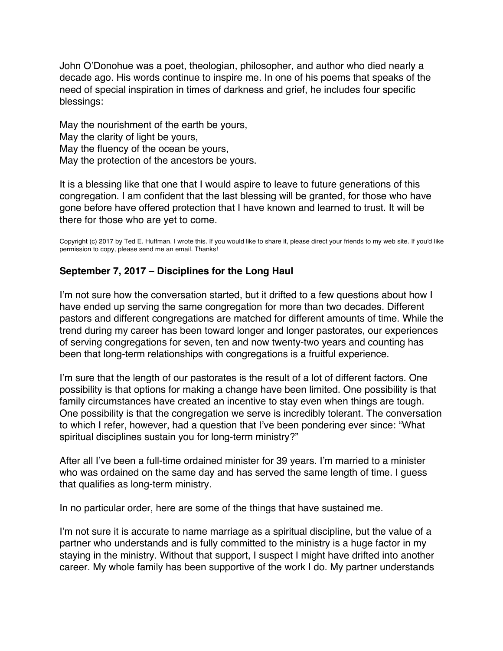<span id="page-13-0"></span>John O'Donohue was a poet, theologian, philosopher, and author who died nearly a decade ago. His words continue to inspire me. In one of his poems that speaks of the need of special inspiration in times of darkness and grief, he includes four specific blessings:

May the nourishment of the earth be yours, May the clarity of light be yours, May the fluency of the ocean be yours, May the protection of the ancestors be yours.

It is a blessing like that one that I would aspire to leave to future generations of this congregation. I am confident that the last blessing will be granted, for those who have gone before have offered protection that I have known and learned to trust. It will be there for those who are yet to come.

Copyright (c) 2017 by Ted E. Huffman. I wrote this. If you would like to share it, please direct your friends to my web site. If you'd like permission to copy, please send me an email. Thanks!

# **September 7, 2017 – Disciplines for the Long Haul**

I'm not sure how the conversation started, but it drifted to a few questions about how I have ended up serving the same congregation for more than two decades. Different pastors and different congregations are matched for different amounts of time. While the trend during my career has been toward longer and longer pastorates, our experiences of serving congregations for seven, ten and now twenty-two years and counting has been that long-term relationships with congregations is a fruitful experience.

I'm sure that the length of our pastorates is the result of a lot of different factors. One possibility is that options for making a change have been limited. One possibility is that family circumstances have created an incentive to stay even when things are tough. One possibility is that the congregation we serve is incredibly tolerant. The conversation to which I refer, however, had a question that I've been pondering ever since: "What spiritual disciplines sustain you for long-term ministry?"

After all I've been a full-time ordained minister for 39 years. I'm married to a minister who was ordained on the same day and has served the same length of time. I guess that qualifies as long-term ministry.

In no particular order, here are some of the things that have sustained me.

I'm not sure it is accurate to name marriage as a spiritual discipline, but the value of a partner who understands and is fully committed to the ministry is a huge factor in my staying in the ministry. Without that support, I suspect I might have drifted into another career. My whole family has been supportive of the work I do. My partner understands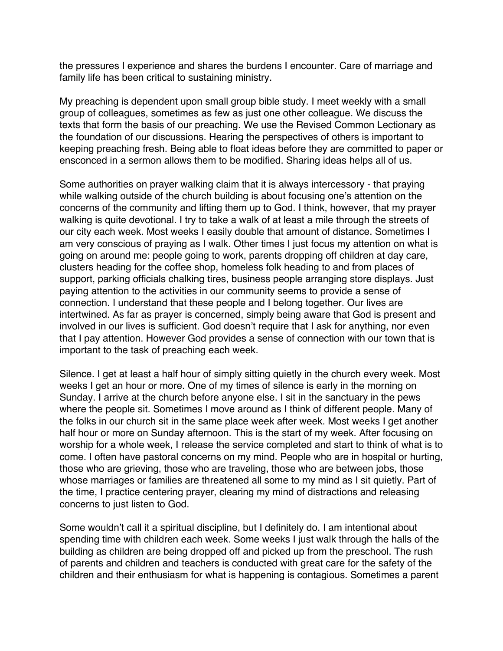the pressures I experience and shares the burdens I encounter. Care of marriage and family life has been critical to sustaining ministry.

My preaching is dependent upon small group bible study. I meet weekly with a small group of colleagues, sometimes as few as just one other colleague. We discuss the texts that form the basis of our preaching. We use the Revised Common Lectionary as the foundation of our discussions. Hearing the perspectives of others is important to keeping preaching fresh. Being able to float ideas before they are committed to paper or ensconced in a sermon allows them to be modified. Sharing ideas helps all of us.

Some authorities on prayer walking claim that it is always intercessory - that praying while walking outside of the church building is about focusing one's attention on the concerns of the community and lifting them up to God. I think, however, that my prayer walking is quite devotional. I try to take a walk of at least a mile through the streets of our city each week. Most weeks I easily double that amount of distance. Sometimes I am very conscious of praying as I walk. Other times I just focus my attention on what is going on around me: people going to work, parents dropping off children at day care, clusters heading for the coffee shop, homeless folk heading to and from places of support, parking officials chalking tires, business people arranging store displays. Just paying attention to the activities in our community seems to provide a sense of connection. I understand that these people and I belong together. Our lives are intertwined. As far as prayer is concerned, simply being aware that God is present and involved in our lives is sufficient. God doesn't require that I ask for anything, nor even that I pay attention. However God provides a sense of connection with our town that is important to the task of preaching each week.

Silence. I get at least a half hour of simply sitting quietly in the church every week. Most weeks I get an hour or more. One of my times of silence is early in the morning on Sunday. I arrive at the church before anyone else. I sit in the sanctuary in the pews where the people sit. Sometimes I move around as I think of different people. Many of the folks in our church sit in the same place week after week. Most weeks I get another half hour or more on Sunday afternoon. This is the start of my week. After focusing on worship for a whole week, I release the service completed and start to think of what is to come. I often have pastoral concerns on my mind. People who are in hospital or hurting, those who are grieving, those who are traveling, those who are between jobs, those whose marriages or families are threatened all some to my mind as I sit quietly. Part of the time, I practice centering prayer, clearing my mind of distractions and releasing concerns to just listen to God.

Some wouldn't call it a spiritual discipline, but I definitely do. I am intentional about spending time with children each week. Some weeks I just walk through the halls of the building as children are being dropped off and picked up from the preschool. The rush of parents and children and teachers is conducted with great care for the safety of the children and their enthusiasm for what is happening is contagious. Sometimes a parent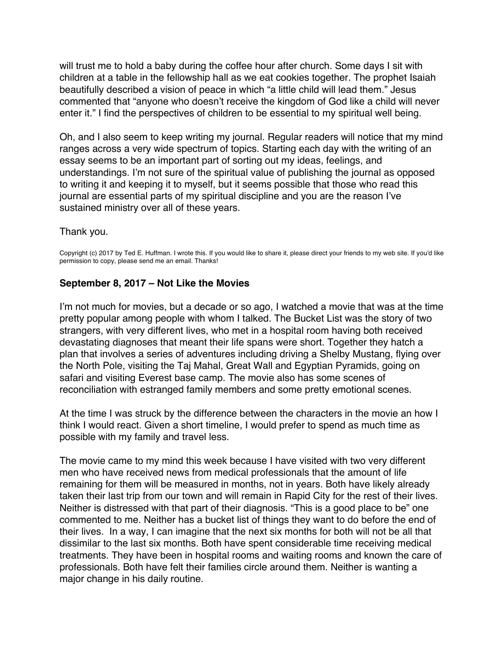<span id="page-15-0"></span>will trust me to hold a baby during the coffee hour after church. Some days I sit with children at a table in the fellowship hall as we eat cookies together. The prophet Isaiah beautifully described a vision of peace in which "a little child will lead them." Jesus commented that "anyone who doesn't receive the kingdom of God like a child will never enter it." I find the perspectives of children to be essential to my spiritual well being.

Oh, and I also seem to keep writing my journal. Regular readers will notice that my mind ranges across a very wide spectrum of topics. Starting each day with the writing of an essay seems to be an important part of sorting out my ideas, feelings, and understandings. I'm not sure of the spiritual value of publishing the journal as opposed to writing it and keeping it to myself, but it seems possible that those who read this journal are essential parts of my spiritual discipline and you are the reason I've sustained ministry over all of these years.

#### Thank you.

Copyright (c) 2017 by Ted E. Huffman. I wrote this. If you would like to share it, please direct your friends to my web site. If you'd like permission to copy, please send me an email. Thanks!

#### **September 8, 2017 – Not Like the Movies**

I'm not much for movies, but a decade or so ago, I watched a movie that was at the time pretty popular among people with whom I talked. The Bucket List was the story of two strangers, with very different lives, who met in a hospital room having both received devastating diagnoses that meant their life spans were short. Together they hatch a plan that involves a series of adventures including driving a Shelby Mustang, flying over the North Pole, visiting the Taj Mahal, Great Wall and Egyptian Pyramids, going on safari and visiting Everest base camp. The movie also has some scenes of reconciliation with estranged family members and some pretty emotional scenes.

At the time I was struck by the difference between the characters in the movie an how I think I would react. Given a short timeline, I would prefer to spend as much time as possible with my family and travel less.

The movie came to my mind this week because I have visited with two very different men who have received news from medical professionals that the amount of life remaining for them will be measured in months, not in years. Both have likely already taken their last trip from our town and will remain in Rapid City for the rest of their lives. Neither is distressed with that part of their diagnosis. "This is a good place to be" one commented to me. Neither has a bucket list of things they want to do before the end of their lives. In a way, I can imagine that the next six months for both will not be all that dissimilar to the last six months. Both have spent considerable time receiving medical treatments. They have been in hospital rooms and waiting rooms and known the care of professionals. Both have felt their families circle around them. Neither is wanting a major change in his daily routine.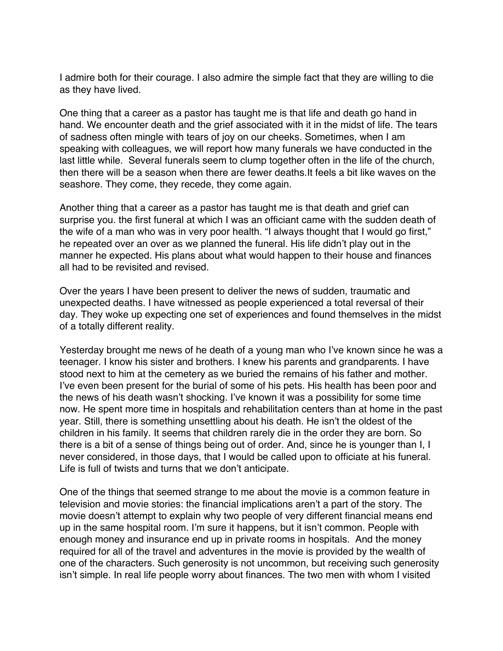I admire both for their courage. I also admire the simple fact that they are willing to die as they have lived.

One thing that a career as a pastor has taught me is that life and death go hand in hand. We encounter death and the grief associated with it in the midst of life. The tears of sadness often mingle with tears of joy on our cheeks. Sometimes, when I am speaking with colleagues, we will report how many funerals we have conducted in the last little while. Several funerals seem to clump together often in the life of the church, then there will be a season when there are fewer deaths.It feels a bit like waves on the seashore. They come, they recede, they come again.

Another thing that a career as a pastor has taught me is that death and grief can surprise you. the first funeral at which I was an officiant came with the sudden death of the wife of a man who was in very poor health. "I always thought that I would go first," he repeated over an over as we planned the funeral. His life didn't play out in the manner he expected. His plans about what would happen to their house and finances all had to be revisited and revised.

Over the years I have been present to deliver the news of sudden, traumatic and unexpected deaths. I have witnessed as people experienced a total reversal of their day. They woke up expecting one set of experiences and found themselves in the midst of a totally different reality.

Yesterday brought me news of he death of a young man who I've known since he was a teenager. I know his sister and brothers. I knew his parents and grandparents. I have stood next to him at the cemetery as we buried the remains of his father and mother. I've even been present for the burial of some of his pets. His health has been poor and the news of his death wasn't shocking. I've known it was a possibility for some time now. He spent more time in hospitals and rehabilitation centers than at home in the past year. Still, there is something unsettling about his death. He isn't the oldest of the children in his family. It seems that children rarely die in the order they are born. So there is a bit of a sense of things being out of order. And, since he is younger than I, I never considered, in those days, that I would be called upon to officiate at his funeral. Life is full of twists and turns that we don't anticipate.

One of the things that seemed strange to me about the movie is a common feature in television and movie stories: the financial implications aren't a part of the story. The movie doesn't attempt to explain why two people of very different financial means end up in the same hospital room. I'm sure it happens, but it isn't common. People with enough money and insurance end up in private rooms in hospitals. And the money required for all of the travel and adventures in the movie is provided by the wealth of one of the characters. Such generosity is not uncommon, but receiving such generosity isn't simple. In real life people worry about finances. The two men with whom I visited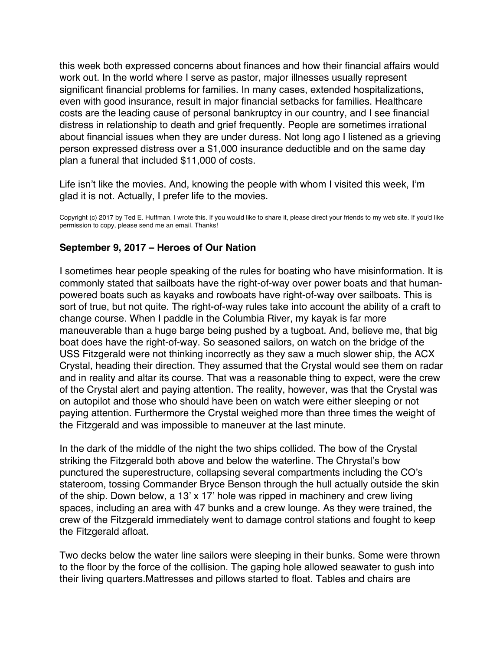<span id="page-17-0"></span>this week both expressed concerns about finances and how their financial affairs would work out. In the world where I serve as pastor, major illnesses usually represent significant financial problems for families. In many cases, extended hospitalizations, even with good insurance, result in major financial setbacks for families. Healthcare costs are the leading cause of personal bankruptcy in our country, and I see financial distress in relationship to death and grief frequently. People are sometimes irrational about financial issues when they are under duress. Not long ago I listened as a grieving person expressed distress over a \$1,000 insurance deductible and on the same day plan a funeral that included \$11,000 of costs.

Life isn't like the movies. And, knowing the people with whom I visited this week, I'm glad it is not. Actually, I prefer life to the movies.

Copyright (c) 2017 by Ted E. Huffman. I wrote this. If you would like to share it, please direct your friends to my web site. If you'd like permission to copy, please send me an email. Thanks!

# **September 9, 2017 – Heroes of Our Nation**

I sometimes hear people speaking of the rules for boating who have misinformation. It is commonly stated that sailboats have the right-of-way over power boats and that humanpowered boats such as kayaks and rowboats have right-of-way over sailboats. This is sort of true, but not quite. The right-of-way rules take into account the ability of a craft to change course. When I paddle in the Columbia River, my kayak is far more maneuverable than a huge barge being pushed by a tugboat. And, believe me, that big boat does have the right-of-way. So seasoned sailors, on watch on the bridge of the USS Fitzgerald were not thinking incorrectly as they saw a much slower ship, the ACX Crystal, heading their direction. They assumed that the Crystal would see them on radar and in reality and altar its course. That was a reasonable thing to expect, were the crew of the Crystal alert and paying attention. The reality, however, was that the Crystal was on autopilot and those who should have been on watch were either sleeping or not paying attention. Furthermore the Crystal weighed more than three times the weight of the Fitzgerald and was impossible to maneuver at the last minute.

In the dark of the middle of the night the two ships collided. The bow of the Crystal striking the Fitzgerald both above and below the waterline. The Chrystal's bow punctured the superestructure, collapsing several compartments including the CO's stateroom, tossing Commander Bryce Benson through the hull actually outside the skin of the ship. Down below, a 13' x 17' hole was ripped in machinery and crew living spaces, including an area with 47 bunks and a crew lounge. As they were trained, the crew of the Fitzgerald immediately went to damage control stations and fought to keep the Fitzgerald afloat.

Two decks below the water line sailors were sleeping in their bunks. Some were thrown to the floor by the force of the collision. The gaping hole allowed seawater to gush into their living quarters.Mattresses and pillows started to float. Tables and chairs are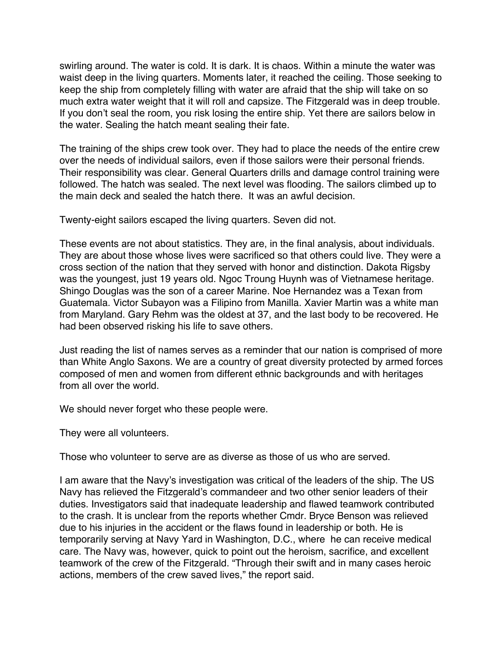swirling around. The water is cold. It is dark. It is chaos. Within a minute the water was waist deep in the living quarters. Moments later, it reached the ceiling. Those seeking to keep the ship from completely filling with water are afraid that the ship will take on so much extra water weight that it will roll and capsize. The Fitzgerald was in deep trouble. If you don't seal the room, you risk losing the entire ship. Yet there are sailors below in the water. Sealing the hatch meant sealing their fate.

The training of the ships crew took over. They had to place the needs of the entire crew over the needs of individual sailors, even if those sailors were their personal friends. Their responsibility was clear. General Quarters drills and damage control training were followed. The hatch was sealed. The next level was flooding. The sailors climbed up to the main deck and sealed the hatch there. It was an awful decision.

Twenty-eight sailors escaped the living quarters. Seven did not.

These events are not about statistics. They are, in the final analysis, about individuals. They are about those whose lives were sacrificed so that others could live. They were a cross section of the nation that they served with honor and distinction. Dakota Rigsby was the youngest, just 19 years old. Ngoc Troung Huynh was of Vietnamese heritage. Shingo Douglas was the son of a career Marine. Noe Hernandez was a Texan from Guatemala. Victor Subayon was a Filipino from Manilla. Xavier Martin was a white man from Maryland. Gary Rehm was the oldest at 37, and the last body to be recovered. He had been observed risking his life to save others.

Just reading the list of names serves as a reminder that our nation is comprised of more than White Anglo Saxons. We are a country of great diversity protected by armed forces composed of men and women from different ethnic backgrounds and with heritages from all over the world.

We should never forget who these people were.

They were all volunteers.

Those who volunteer to serve are as diverse as those of us who are served.

I am aware that the Navy's investigation was critical of the leaders of the ship. The US Navy has relieved the Fitzgerald's commandeer and two other senior leaders of their duties. Investigators said that inadequate leadership and flawed teamwork contributed to the crash. It is unclear from the reports whether Cmdr. Bryce Benson was relieved due to his injuries in the accident or the flaws found in leadership or both. He is temporarily serving at Navy Yard in Washington, D.C., where he can receive medical care. The Navy was, however, quick to point out the heroism, sacrifice, and excellent teamwork of the crew of the Fitzgerald. "Through their swift and in many cases heroic actions, members of the crew saved lives," the report said.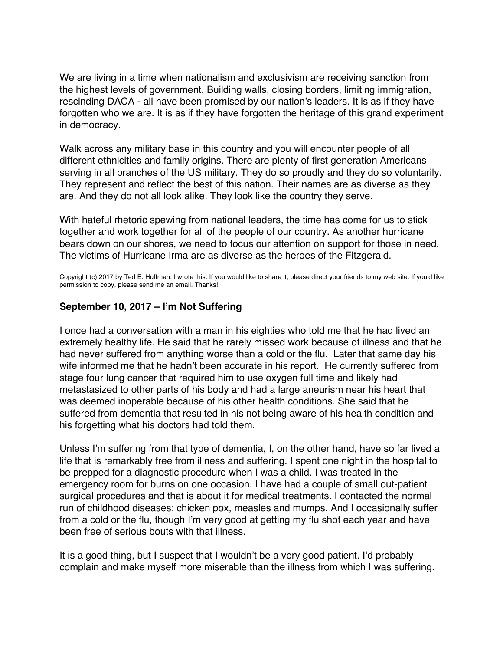<span id="page-19-0"></span>We are living in a time when nationalism and exclusivism are receiving sanction from the highest levels of government. Building walls, closing borders, limiting immigration, rescinding DACA - all have been promised by our nation's leaders. It is as if they have forgotten who we are. It is as if they have forgotten the heritage of this grand experiment in democracy.

Walk across any military base in this country and you will encounter people of all different ethnicities and family origins. There are plenty of first generation Americans serving in all branches of the US military. They do so proudly and they do so voluntarily. They represent and reflect the best of this nation. Their names are as diverse as they are. And they do not all look alike. They look like the country they serve.

With hateful rhetoric spewing from national leaders, the time has come for us to stick together and work together for all of the people of our country. As another hurricane bears down on our shores, we need to focus our attention on support for those in need. The victims of Hurricane Irma are as diverse as the heroes of the Fitzgerald.

Copyright (c) 2017 by Ted E. Huffman. I wrote this. If you would like to share it, please direct your friends to my web site. If you'd like permission to copy, please send me an email. Thanks!

# **September 10, 2017 – I'm Not Suffering**

I once had a conversation with a man in his eighties who told me that he had lived an extremely healthy life. He said that he rarely missed work because of illness and that he had never suffered from anything worse than a cold or the flu. Later that same day his wife informed me that he hadn't been accurate in his report. He currently suffered from stage four lung cancer that required him to use oxygen full time and likely had metastasized to other parts of his body and had a large aneurism near his heart that was deemed inoperable because of his other health conditions. She said that he suffered from dementia that resulted in his not being aware of his health condition and his forgetting what his doctors had told them.

Unless I'm suffering from that type of dementia, I, on the other hand, have so far lived a life that is remarkably free from illness and suffering. I spent one night in the hospital to be prepped for a diagnostic procedure when I was a child. I was treated in the emergency room for burns on one occasion. I have had a couple of small out-patient surgical procedures and that is about it for medical treatments. I contacted the normal run of childhood diseases: chicken pox, measles and mumps. And I occasionally suffer from a cold or the flu, though I'm very good at getting my flu shot each year and have been free of serious bouts with that illness.

It is a good thing, but I suspect that I wouldn't be a very good patient. I'd probably complain and make myself more miserable than the illness from which I was suffering.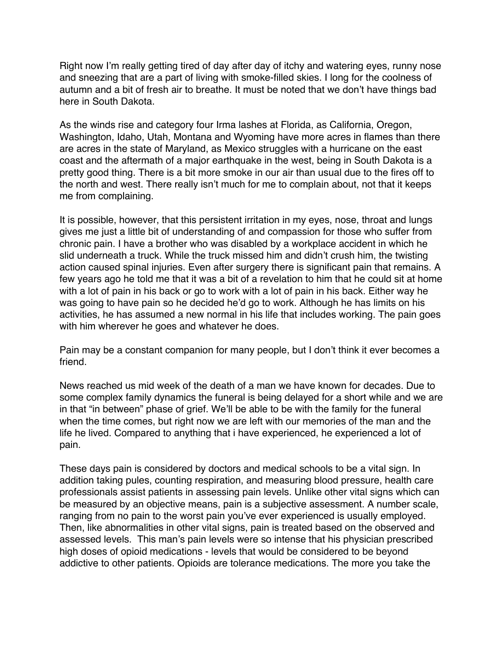Right now I'm really getting tired of day after day of itchy and watering eyes, runny nose and sneezing that are a part of living with smoke-filled skies. I long for the coolness of autumn and a bit of fresh air to breathe. It must be noted that we don't have things bad here in South Dakota.

As the winds rise and category four Irma lashes at Florida, as California, Oregon, Washington, Idaho, Utah, Montana and Wyoming have more acres in flames than there are acres in the state of Maryland, as Mexico struggles with a hurricane on the east coast and the aftermath of a major earthquake in the west, being in South Dakota is a pretty good thing. There is a bit more smoke in our air than usual due to the fires off to the north and west. There really isn't much for me to complain about, not that it keeps me from complaining.

It is possible, however, that this persistent irritation in my eyes, nose, throat and lungs gives me just a little bit of understanding of and compassion for those who suffer from chronic pain. I have a brother who was disabled by a workplace accident in which he slid underneath a truck. While the truck missed him and didn't crush him, the twisting action caused spinal injuries. Even after surgery there is significant pain that remains. A few years ago he told me that it was a bit of a revelation to him that he could sit at home with a lot of pain in his back or go to work with a lot of pain in his back. Either way he was going to have pain so he decided he'd go to work. Although he has limits on his activities, he has assumed a new normal in his life that includes working. The pain goes with him wherever he goes and whatever he does.

Pain may be a constant companion for many people, but I don't think it ever becomes a friend.

News reached us mid week of the death of a man we have known for decades. Due to some complex family dynamics the funeral is being delayed for a short while and we are in that "in between" phase of grief. We'll be able to be with the family for the funeral when the time comes, but right now we are left with our memories of the man and the life he lived. Compared to anything that i have experienced, he experienced a lot of pain.

These days pain is considered by doctors and medical schools to be a vital sign. In addition taking pules, counting respiration, and measuring blood pressure, health care professionals assist patients in assessing pain levels. Unlike other vital signs which can be measured by an objective means, pain is a subjective assessment. A number scale, ranging from no pain to the worst pain you've ever experienced is usually employed. Then, like abnormalities in other vital signs, pain is treated based on the observed and assessed levels. This man's pain levels were so intense that his physician prescribed high doses of opioid medications - levels that would be considered to be beyond addictive to other patients. Opioids are tolerance medications. The more you take the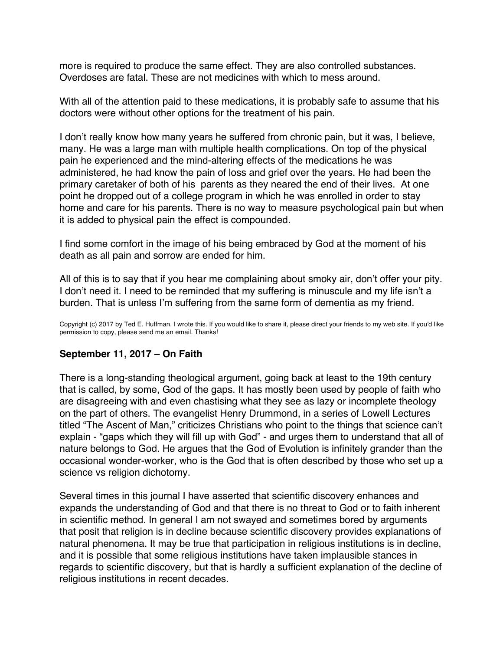<span id="page-21-0"></span>more is required to produce the same effect. They are also controlled substances. Overdoses are fatal. These are not medicines with which to mess around.

With all of the attention paid to these medications, it is probably safe to assume that his doctors were without other options for the treatment of his pain.

I don't really know how many years he suffered from chronic pain, but it was, I believe, many. He was a large man with multiple health complications. On top of the physical pain he experienced and the mind-altering effects of the medications he was administered, he had know the pain of loss and grief over the years. He had been the primary caretaker of both of his parents as they neared the end of their lives. At one point he dropped out of a college program in which he was enrolled in order to stay home and care for his parents. There is no way to measure psychological pain but when it is added to physical pain the effect is compounded.

I find some comfort in the image of his being embraced by God at the moment of his death as all pain and sorrow are ended for him.

All of this is to say that if you hear me complaining about smoky air, don't offer your pity. I don't need it. I need to be reminded that my suffering is minuscule and my life isn't a burden. That is unless I'm suffering from the same form of dementia as my friend.

Copyright (c) 2017 by Ted E. Huffman. I wrote this. If you would like to share it, please direct your friends to my web site. If you'd like permission to copy, please send me an email. Thanks!

# **September 11, 2017 – On Faith**

There is a long-standing theological argument, going back at least to the 19th century that is called, by some, God of the gaps. It has mostly been used by people of faith who are disagreeing with and even chastising what they see as lazy or incomplete theology on the part of others. The evangelist Henry Drummond, in a series of Lowell Lectures titled "The Ascent of Man," criticizes Christians who point to the things that science can't explain - "gaps which they will fill up with God" - and urges them to understand that all of nature belongs to God. He argues that the God of Evolution is infinitely grander than the occasional wonder-worker, who is the God that is often described by those who set up a science vs religion dichotomy.

Several times in this journal I have asserted that scientific discovery enhances and expands the understanding of God and that there is no threat to God or to faith inherent in scientific method. In general I am not swayed and sometimes bored by arguments that posit that religion is in decline because scientific discovery provides explanations of natural phenomena. It may be true that participation in religious institutions is in decline, and it is possible that some religious institutions have taken implausible stances in regards to scientific discovery, but that is hardly a sufficient explanation of the decline of religious institutions in recent decades.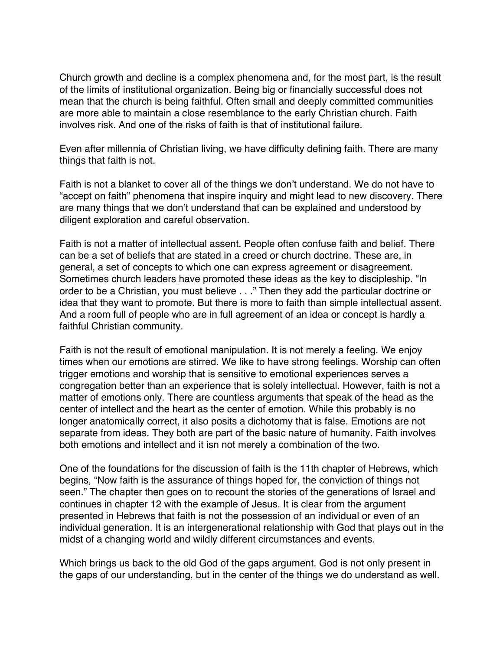Church growth and decline is a complex phenomena and, for the most part, is the result of the limits of institutional organization. Being big or financially successful does not mean that the church is being faithful. Often small and deeply committed communities are more able to maintain a close resemblance to the early Christian church. Faith involves risk. And one of the risks of faith is that of institutional failure.

Even after millennia of Christian living, we have difficulty defining faith. There are many things that faith is not.

Faith is not a blanket to cover all of the things we don't understand. We do not have to "accept on faith" phenomena that inspire inquiry and might lead to new discovery. There are many things that we don't understand that can be explained and understood by diligent exploration and careful observation.

Faith is not a matter of intellectual assent. People often confuse faith and belief. There can be a set of beliefs that are stated in a creed or church doctrine. These are, in general, a set of concepts to which one can express agreement or disagreement. Sometimes church leaders have promoted these ideas as the key to discipleship. "In order to be a Christian, you must believe . . ." Then they add the particular doctrine or idea that they want to promote. But there is more to faith than simple intellectual assent. And a room full of people who are in full agreement of an idea or concept is hardly a faithful Christian community.

Faith is not the result of emotional manipulation. It is not merely a feeling. We enjoy times when our emotions are stirred. We like to have strong feelings. Worship can often trigger emotions and worship that is sensitive to emotional experiences serves a congregation better than an experience that is solely intellectual. However, faith is not a matter of emotions only. There are countless arguments that speak of the head as the center of intellect and the heart as the center of emotion. While this probably is no longer anatomically correct, it also posits a dichotomy that is false. Emotions are not separate from ideas. They both are part of the basic nature of humanity. Faith involves both emotions and intellect and it isn not merely a combination of the two.

One of the foundations for the discussion of faith is the 11th chapter of Hebrews, which begins, "Now faith is the assurance of things hoped for, the conviction of things not seen." The chapter then goes on to recount the stories of the generations of Israel and continues in chapter 12 with the example of Jesus. It is clear from the argument presented in Hebrews that faith is not the possession of an individual or even of an individual generation. It is an intergenerational relationship with God that plays out in the midst of a changing world and wildly different circumstances and events.

Which brings us back to the old God of the gaps argument. God is not only present in the gaps of our understanding, but in the center of the things we do understand as well.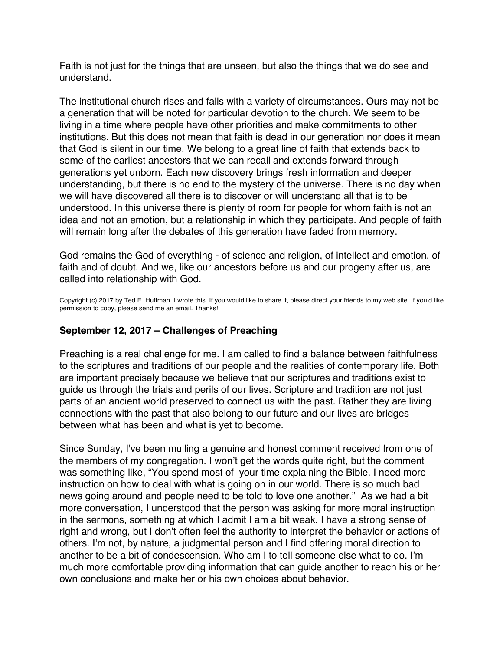<span id="page-23-0"></span>Faith is not just for the things that are unseen, but also the things that we do see and understand.

The institutional church rises and falls with a variety of circumstances. Ours may not be a generation that will be noted for particular devotion to the church. We seem to be living in a time where people have other priorities and make commitments to other institutions. But this does not mean that faith is dead in our generation nor does it mean that God is silent in our time. We belong to a great line of faith that extends back to some of the earliest ancestors that we can recall and extends forward through generations yet unborn. Each new discovery brings fresh information and deeper understanding, but there is no end to the mystery of the universe. There is no day when we will have discovered all there is to discover or will understand all that is to be understood. In this universe there is plenty of room for people for whom faith is not an idea and not an emotion, but a relationship in which they participate. And people of faith will remain long after the debates of this generation have faded from memory.

God remains the God of everything - of science and religion, of intellect and emotion, of faith and of doubt. And we, like our ancestors before us and our progeny after us, are called into relationship with God.

Copyright (c) 2017 by Ted E. Huffman. I wrote this. If you would like to share it, please direct your friends to my web site. If you'd like permission to copy, please send me an email. Thanks!

### **September 12, 2017 – Challenges of Preaching**

Preaching is a real challenge for me. I am called to find a balance between faithfulness to the scriptures and traditions of our people and the realities of contemporary life. Both are important precisely because we believe that our scriptures and traditions exist to guide us through the trials and perils of our lives. Scripture and tradition are not just parts of an ancient world preserved to connect us with the past. Rather they are living connections with the past that also belong to our future and our lives are bridges between what has been and what is yet to become.

Since Sunday, I've been mulling a genuine and honest comment received from one of the members of my congregation. I won't get the words quite right, but the comment was something like, "You spend most of your time explaining the Bible. I need more instruction on how to deal with what is going on in our world. There is so much bad news going around and people need to be told to love one another." As we had a bit more conversation, I understood that the person was asking for more moral instruction in the sermons, something at which I admit I am a bit weak. I have a strong sense of right and wrong, but I don't often feel the authority to interpret the behavior or actions of others. I'm not, by nature, a judgmental person and I find offering moral direction to another to be a bit of condescension. Who am I to tell someone else what to do. I'm much more comfortable providing information that can guide another to reach his or her own conclusions and make her or his own choices about behavior.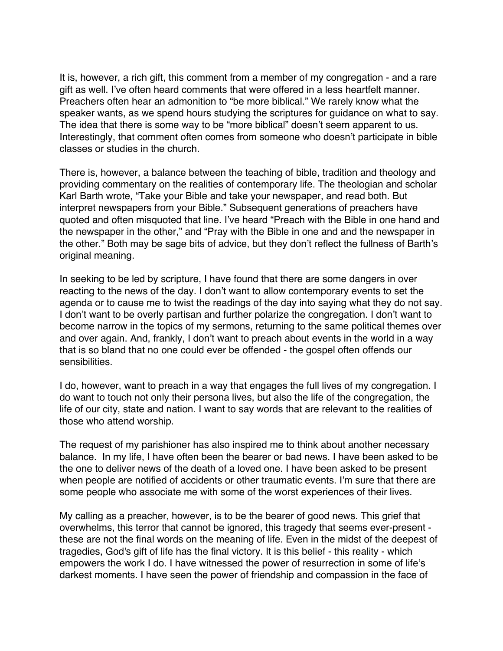It is, however, a rich gift, this comment from a member of my congregation - and a rare gift as well. I've often heard comments that were offered in a less heartfelt manner. Preachers often hear an admonition to "be more biblical." We rarely know what the speaker wants, as we spend hours studying the scriptures for guidance on what to say. The idea that there is some way to be "more biblical" doesn't seem apparent to us. Interestingly, that comment often comes from someone who doesn't participate in bible classes or studies in the church.

There is, however, a balance between the teaching of bible, tradition and theology and providing commentary on the realities of contemporary life. The theologian and scholar Karl Barth wrote, "Take your Bible and take your newspaper, and read both. But interpret newspapers from your Bible." Subsequent generations of preachers have quoted and often misquoted that line. I've heard "Preach with the Bible in one hand and the newspaper in the other," and "Pray with the Bible in one and and the newspaper in the other." Both may be sage bits of advice, but they don't reflect the fullness of Barth's original meaning.

In seeking to be led by scripture, I have found that there are some dangers in over reacting to the news of the day. I don't want to allow contemporary events to set the agenda or to cause me to twist the readings of the day into saying what they do not say. I don't want to be overly partisan and further polarize the congregation. I don't want to become narrow in the topics of my sermons, returning to the same political themes over and over again. And, frankly, I don't want to preach about events in the world in a way that is so bland that no one could ever be offended - the gospel often offends our sensibilities.

I do, however, want to preach in a way that engages the full lives of my congregation. I do want to touch not only their persona lives, but also the life of the congregation, the life of our city, state and nation. I want to say words that are relevant to the realities of those who attend worship.

The request of my parishioner has also inspired me to think about another necessary balance. In my life, I have often been the bearer or bad news. I have been asked to be the one to deliver news of the death of a loved one. I have been asked to be present when people are notified of accidents or other traumatic events. I'm sure that there are some people who associate me with some of the worst experiences of their lives.

My calling as a preacher, however, is to be the bearer of good news. This grief that overwhelms, this terror that cannot be ignored, this tragedy that seems ever-present these are not the final words on the meaning of life. Even in the midst of the deepest of tragedies, God's gift of life has the final victory. It is this belief - this reality - which empowers the work I do. I have witnessed the power of resurrection in some of life's darkest moments. I have seen the power of friendship and compassion in the face of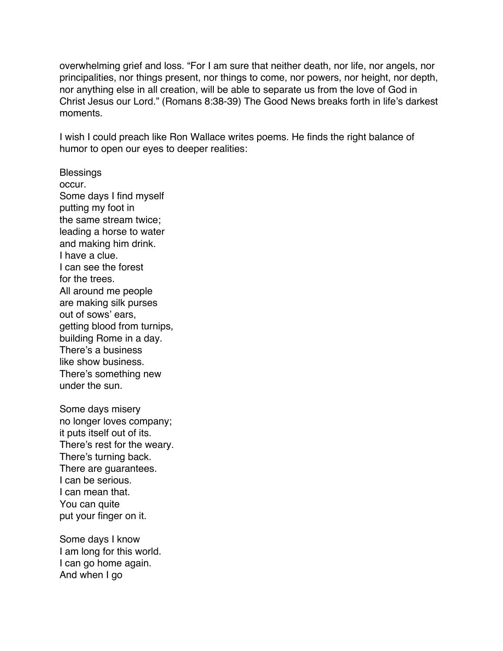overwhelming grief and loss. "For I am sure that neither death, nor life, nor angels, nor principalities, nor things present, nor things to come, nor powers, nor height, nor depth, nor anything else in all creation, will be able to separate us from the love of God in Christ Jesus our Lord." (Romans 8:38-39) The Good News breaks forth in life's darkest moments.

I wish I could preach like Ron Wallace writes poems. He finds the right balance of humor to open our eyes to deeper realities:

**Blessings** occur. Some days I find myself putting my foot in the same stream twice; leading a horse to water and making him drink. I have a clue. I can see the forest for the trees. All around me people are making silk purses out of sows' ears, getting blood from turnips, building Rome in a day. There's a business like show business. There's something new under the sun.

Some days misery no longer loves company; it puts itself out of its. There's rest for the weary. There's turning back. There are guarantees. I can be serious. I can mean that. You can quite put your finger on it.

Some days I know I am long for this world. I can go home again. And when I go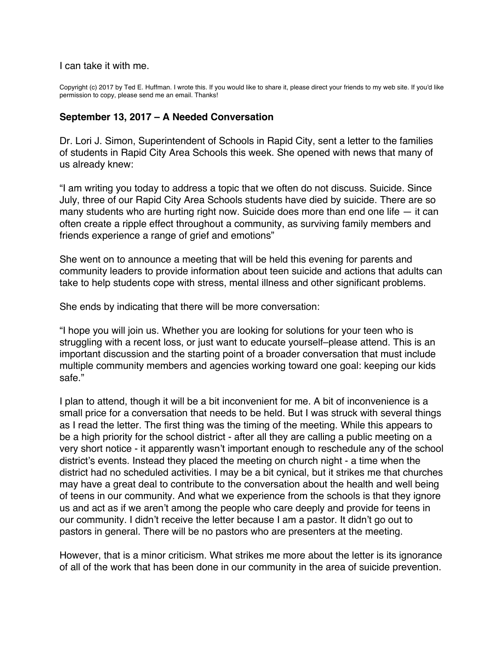<span id="page-26-0"></span>I can take it with me.

Copyright (c) 2017 by Ted E. Huffman. I wrote this. If you would like to share it, please direct your friends to my web site. If you'd like permission to copy, please send me an email. Thanks!

#### **September 13, 2017 – A Needed Conversation**

Dr. Lori J. Simon, Superintendent of Schools in Rapid City, sent a letter to the families of students in Rapid City Area Schools this week. She opened with news that many of us already knew:

"I am writing you today to address a topic that we often do not discuss. Suicide. Since July, three of our Rapid City Area Schools students have died by suicide. There are so many students who are hurting right now. Suicide does more than end one life  $-$  it can often create a ripple effect throughout a community, as surviving family members and friends experience a range of grief and emotions"

She went on to announce a meeting that will be held this evening for parents and community leaders to provide information about teen suicide and actions that adults can take to help students cope with stress, mental illness and other significant problems.

She ends by indicating that there will be more conversation:

"I hope you will join us. Whether you are looking for solutions for your teen who is struggling with a recent loss, or just want to educate yourself–please attend. This is an important discussion and the starting point of a broader conversation that must include multiple community members and agencies working toward one goal: keeping our kids safe."

I plan to attend, though it will be a bit inconvenient for me. A bit of inconvenience is a small price for a conversation that needs to be held. But I was struck with several things as I read the letter. The first thing was the timing of the meeting. While this appears to be a high priority for the school district - after all they are calling a public meeting on a very short notice - it apparently wasn't important enough to reschedule any of the school district's events. Instead they placed the meeting on church night - a time when the district had no scheduled activities. I may be a bit cynical, but it strikes me that churches may have a great deal to contribute to the conversation about the health and well being of teens in our community. And what we experience from the schools is that they ignore us and act as if we aren't among the people who care deeply and provide for teens in our community. I didn't receive the letter because I am a pastor. It didn't go out to pastors in general. There will be no pastors who are presenters at the meeting.

However, that is a minor criticism. What strikes me more about the letter is its ignorance of all of the work that has been done in our community in the area of suicide prevention.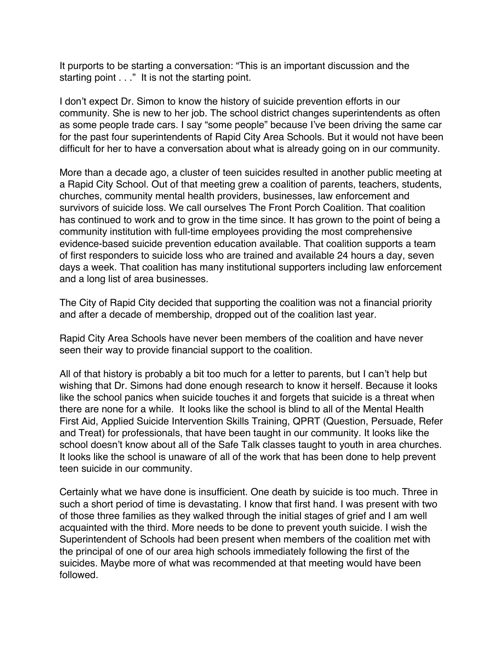It purports to be starting a conversation: "This is an important discussion and the starting point . . ." It is not the starting point.

I don't expect Dr. Simon to know the history of suicide prevention efforts in our community. She is new to her job. The school district changes superintendents as often as some people trade cars. I say "some people" because I've been driving the same car for the past four superintendents of Rapid City Area Schools. But it would not have been difficult for her to have a conversation about what is already going on in our community.

More than a decade ago, a cluster of teen suicides resulted in another public meeting at a Rapid City School. Out of that meeting grew a coalition of parents, teachers, students, churches, community mental health providers, businesses, law enforcement and survivors of suicide loss. We call ourselves The Front Porch Coalition. That coalition has continued to work and to grow in the time since. It has grown to the point of being a community institution with full-time employees providing the most comprehensive evidence-based suicide prevention education available. That coalition supports a team of first responders to suicide loss who are trained and available 24 hours a day, seven days a week. That coalition has many institutional supporters including law enforcement and a long list of area businesses.

The City of Rapid City decided that supporting the coalition was not a financial priority and after a decade of membership, dropped out of the coalition last year.

Rapid City Area Schools have never been members of the coalition and have never seen their way to provide financial support to the coalition.

All of that history is probably a bit too much for a letter to parents, but I can't help but wishing that Dr. Simons had done enough research to know it herself. Because it looks like the school panics when suicide touches it and forgets that suicide is a threat when there are none for a while. It looks like the school is blind to all of the Mental Health First Aid, Applied Suicide Intervention Skills Training, QPRT (Question, Persuade, Refer and Treat) for professionals, that have been taught in our community. It looks like the school doesn't know about all of the Safe Talk classes taught to youth in area churches. It looks like the school is unaware of all of the work that has been done to help prevent teen suicide in our community.

Certainly what we have done is insufficient. One death by suicide is too much. Three in such a short period of time is devastating. I know that first hand. I was present with two of those three families as they walked through the initial stages of grief and I am well acquainted with the third. More needs to be done to prevent youth suicide. I wish the Superintendent of Schools had been present when members of the coalition met with the principal of one of our area high schools immediately following the first of the suicides. Maybe more of what was recommended at that meeting would have been followed.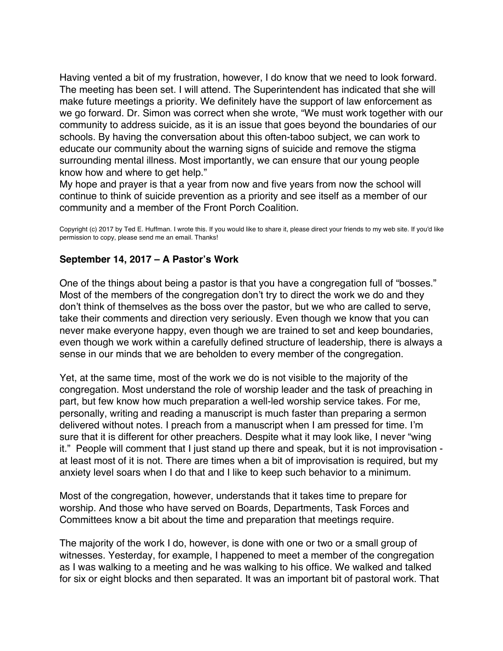<span id="page-28-0"></span>Having vented a bit of my frustration, however, I do know that we need to look forward. The meeting has been set. I will attend. The Superintendent has indicated that she will make future meetings a priority. We definitely have the support of law enforcement as we go forward. Dr. Simon was correct when she wrote, "We must work together with our community to address suicide, as it is an issue that goes beyond the boundaries of our schools. By having the conversation about this often-taboo subject, we can work to educate our community about the warning signs of suicide and remove the stigma surrounding mental illness. Most importantly, we can ensure that our young people know how and where to get help."

My hope and prayer is that a year from now and five years from now the school will continue to think of suicide prevention as a priority and see itself as a member of our community and a member of the Front Porch Coalition.

Copyright (c) 2017 by Ted E. Huffman. I wrote this. If you would like to share it, please direct your friends to my web site. If you'd like permission to copy, please send me an email. Thanks!

### **September 14, 2017 – A Pastor's Work**

One of the things about being a pastor is that you have a congregation full of "bosses." Most of the members of the congregation don't try to direct the work we do and they don't think of themselves as the boss over the pastor, but we who are called to serve, take their comments and direction very seriously. Even though we know that you can never make everyone happy, even though we are trained to set and keep boundaries, even though we work within a carefully defined structure of leadership, there is always a sense in our minds that we are beholden to every member of the congregation.

Yet, at the same time, most of the work we do is not visible to the majority of the congregation. Most understand the role of worship leader and the task of preaching in part, but few know how much preparation a well-led worship service takes. For me, personally, writing and reading a manuscript is much faster than preparing a sermon delivered without notes. I preach from a manuscript when I am pressed for time. I'm sure that it is different for other preachers. Despite what it may look like, I never "wing it." People will comment that I just stand up there and speak, but it is not improvisation at least most of it is not. There are times when a bit of improvisation is required, but my anxiety level soars when I do that and I like to keep such behavior to a minimum.

Most of the congregation, however, understands that it takes time to prepare for worship. And those who have served on Boards, Departments, Task Forces and Committees know a bit about the time and preparation that meetings require.

The majority of the work I do, however, is done with one or two or a small group of witnesses. Yesterday, for example, I happened to meet a member of the congregation as I was walking to a meeting and he was walking to his office. We walked and talked for six or eight blocks and then separated. It was an important bit of pastoral work. That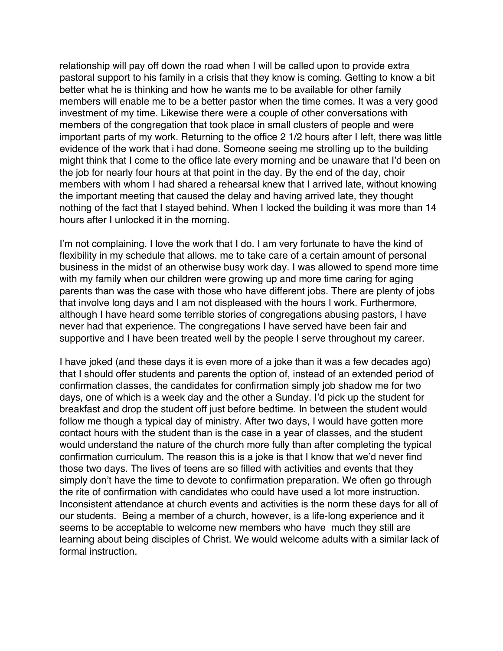relationship will pay off down the road when I will be called upon to provide extra pastoral support to his family in a crisis that they know is coming. Getting to know a bit better what he is thinking and how he wants me to be available for other family members will enable me to be a better pastor when the time comes. It was a very good investment of my time. Likewise there were a couple of other conversations with members of the congregation that took place in small clusters of people and were important parts of my work. Returning to the office 2 1/2 hours after I left, there was little evidence of the work that i had done. Someone seeing me strolling up to the building might think that I come to the office late every morning and be unaware that I'd been on the job for nearly four hours at that point in the day. By the end of the day, choir members with whom I had shared a rehearsal knew that I arrived late, without knowing the important meeting that caused the delay and having arrived late, they thought nothing of the fact that I stayed behind. When I locked the building it was more than 14 hours after I unlocked it in the morning.

I'm not complaining. I love the work that I do. I am very fortunate to have the kind of flexibility in my schedule that allows. me to take care of a certain amount of personal business in the midst of an otherwise busy work day. I was allowed to spend more time with my family when our children were growing up and more time caring for aging parents than was the case with those who have different jobs. There are plenty of jobs that involve long days and I am not displeased with the hours I work. Furthermore, although I have heard some terrible stories of congregations abusing pastors, I have never had that experience. The congregations I have served have been fair and supportive and I have been treated well by the people I serve throughout my career.

I have joked (and these days it is even more of a joke than it was a few decades ago) that I should offer students and parents the option of, instead of an extended period of confirmation classes, the candidates for confirmation simply job shadow me for two days, one of which is a week day and the other a Sunday. I'd pick up the student for breakfast and drop the student off just before bedtime. In between the student would follow me though a typical day of ministry. After two days, I would have gotten more contact hours with the student than is the case in a year of classes, and the student would understand the nature of the church more fully than after completing the typical confirmation curriculum. The reason this is a joke is that I know that we'd never find those two days. The lives of teens are so filled with activities and events that they simply don't have the time to devote to confirmation preparation. We often go through the rite of confirmation with candidates who could have used a lot more instruction. Inconsistent attendance at church events and activities is the norm these days for all of our students. Being a member of a church, however, is a life-long experience and it seems to be acceptable to welcome new members who have much they still are learning about being disciples of Christ. We would welcome adults with a similar lack of formal instruction.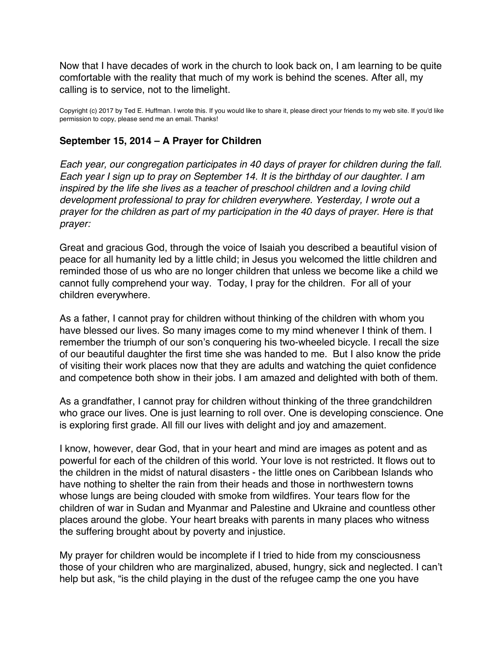<span id="page-30-0"></span>Now that I have decades of work in the church to look back on, I am learning to be quite comfortable with the reality that much of my work is behind the scenes. After all, my calling is to service, not to the limelight.

Copyright (c) 2017 by Ted E. Huffman. I wrote this. If you would like to share it, please direct your friends to my web site. If you'd like permission to copy, please send me an email. Thanks!

# **September 15, 2014 – A Prayer for Children**

*Each year, our congregation participates in 40 days of prayer for children during the fall. Each year I sign up to pray on September 14. It is the birthday of our daughter. I am inspired by the life she lives as a teacher of preschool children and a loving child development professional to pray for children everywhere. Yesterday, I wrote out a prayer for the children as part of my participation in the 40 days of prayer. Here is that prayer:*

Great and gracious God, through the voice of Isaiah you described a beautiful vision of peace for all humanity led by a little child; in Jesus you welcomed the little children and reminded those of us who are no longer children that unless we become like a child we cannot fully comprehend your way. Today, I pray for the children. For all of your children everywhere.

As a father, I cannot pray for children without thinking of the children with whom you have blessed our lives. So many images come to my mind whenever I think of them. I remember the triumph of our son's conquering his two-wheeled bicycle. I recall the size of our beautiful daughter the first time she was handed to me. But I also know the pride of visiting their work places now that they are adults and watching the quiet confidence and competence both show in their jobs. I am amazed and delighted with both of them.

As a grandfather, I cannot pray for children without thinking of the three grandchildren who grace our lives. One is just learning to roll over. One is developing conscience. One is exploring first grade. All fill our lives with delight and joy and amazement.

I know, however, dear God, that in your heart and mind are images as potent and as powerful for each of the children of this world. Your love is not restricted. It flows out to the children in the midst of natural disasters - the little ones on Caribbean Islands who have nothing to shelter the rain from their heads and those in northwestern towns whose lungs are being clouded with smoke from wildfires. Your tears flow for the children of war in Sudan and Myanmar and Palestine and Ukraine and countless other places around the globe. Your heart breaks with parents in many places who witness the suffering brought about by poverty and injustice.

My prayer for children would be incomplete if I tried to hide from my consciousness those of your children who are marginalized, abused, hungry, sick and neglected. I can't help but ask, "is the child playing in the dust of the refugee camp the one you have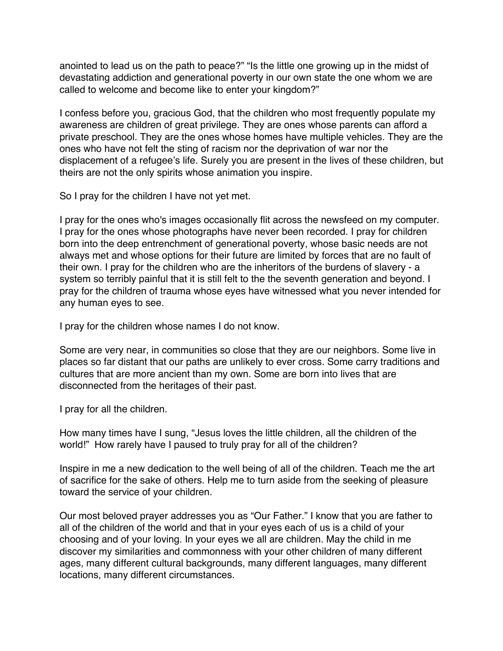anointed to lead us on the path to peace?" "Is the little one growing up in the midst of devastating addiction and generational poverty in our own state the one whom we are called to welcome and become like to enter your kingdom?"

I confess before you, gracious God, that the children who most frequently populate my awareness are children of great privilege. They are ones whose parents can afford a private preschool. They are the ones whose homes have multiple vehicles. They are the ones who have not felt the sting of racism nor the deprivation of war nor the displacement of a refugee's life. Surely you are present in the lives of these children, but theirs are not the only spirits whose animation you inspire.

So I pray for the children I have not yet met.

I pray for the ones who's images occasionally flit across the newsfeed on my computer. I pray for the ones whose photographs have never been recorded. I pray for children born into the deep entrenchment of generational poverty, whose basic needs are not always met and whose options for their future are limited by forces that are no fault of their own. I pray for the children who are the inheritors of the burdens of slavery - a system so terribly painful that it is still felt to the the seventh generation and beyond. I pray for the children of trauma whose eyes have witnessed what you never intended for any human eyes to see.

I pray for the children whose names I do not know.

Some are very near, in communities so close that they are our neighbors. Some live in places so far distant that our paths are unlikely to ever cross. Some carry traditions and cultures that are more ancient than my own. Some are born into lives that are disconnected from the heritages of their past.

I pray for all the children.

How many times have I sung, "Jesus loves the little children, all the children of the world!" How rarely have I paused to truly pray for all of the children?

Inspire in me a new dedication to the well being of all of the children. Teach me the art of sacrifice for the sake of others. Help me to turn aside from the seeking of pleasure toward the service of your children.

Our most beloved prayer addresses you as "Our Father." I know that you are father to all of the children of the world and that in your eyes each of us is a child of your choosing and of your loving. In your eyes we all are children. May the child in me discover my similarities and commonness with your other children of many different ages, many different cultural backgrounds, many different languages, many different locations, many different circumstances.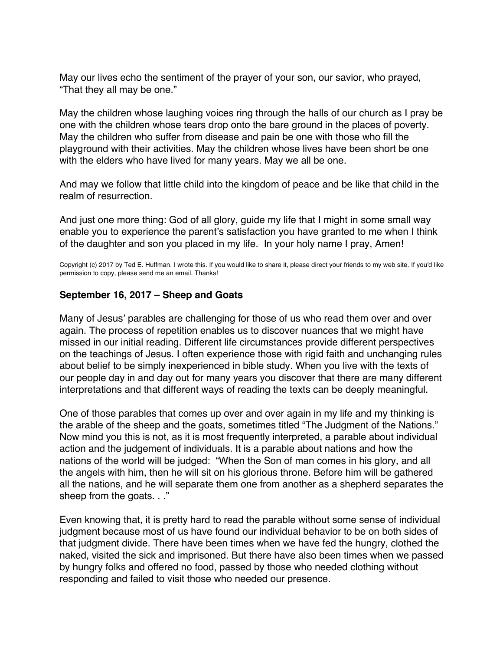<span id="page-32-0"></span>May our lives echo the sentiment of the prayer of your son, our savior, who prayed, "That they all may be one."

May the children whose laughing voices ring through the halls of our church as I pray be one with the children whose tears drop onto the bare ground in the places of poverty. May the children who suffer from disease and pain be one with those who fill the playground with their activities. May the children whose lives have been short be one with the elders who have lived for many years. May we all be one.

And may we follow that little child into the kingdom of peace and be like that child in the realm of resurrection.

And just one more thing: God of all glory, guide my life that I might in some small way enable you to experience the parent's satisfaction you have granted to me when I think of the daughter and son you placed in my life. In your holy name I pray, Amen!

Copyright (c) 2017 by Ted E. Huffman. I wrote this. If you would like to share it, please direct your friends to my web site. If you'd like permission to copy, please send me an email. Thanks!

#### **September 16, 2017 – Sheep and Goats**

Many of Jesus' parables are challenging for those of us who read them over and over again. The process of repetition enables us to discover nuances that we might have missed in our initial reading. Different life circumstances provide different perspectives on the teachings of Jesus. I often experience those with rigid faith and unchanging rules about belief to be simply inexperienced in bible study. When you live with the texts of our people day in and day out for many years you discover that there are many different interpretations and that different ways of reading the texts can be deeply meaningful.

One of those parables that comes up over and over again in my life and my thinking is the arable of the sheep and the goats, sometimes titled "The Judgment of the Nations." Now mind you this is not, as it is most frequently interpreted, a parable about individual action and the judgement of individuals. It is a parable about nations and how the nations of the world will be judged: "When the Son of man comes in his glory, and all the angels with him, then he will sit on his glorious throne. Before him will be gathered all the nations, and he will separate them one from another as a shepherd separates the sheep from the goats. . ."

Even knowing that, it is pretty hard to read the parable without some sense of individual judgment because most of us have found our individual behavior to be on both sides of that judgment divide. There have been times when we have fed the hungry, clothed the naked, visited the sick and imprisoned. But there have also been times when we passed by hungry folks and offered no food, passed by those who needed clothing without responding and failed to visit those who needed our presence.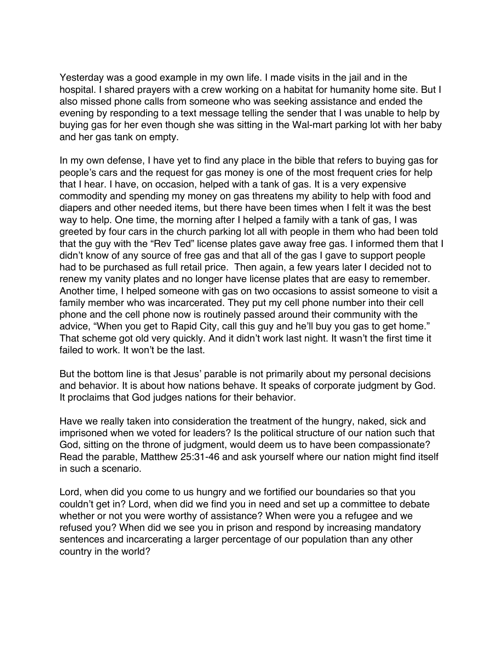Yesterday was a good example in my own life. I made visits in the jail and in the hospital. I shared prayers with a crew working on a habitat for humanity home site. But I also missed phone calls from someone who was seeking assistance and ended the evening by responding to a text message telling the sender that I was unable to help by buying gas for her even though she was sitting in the Wal-mart parking lot with her baby and her gas tank on empty.

In my own defense, I have yet to find any place in the bible that refers to buying gas for people's cars and the request for gas money is one of the most frequent cries for help that I hear. I have, on occasion, helped with a tank of gas. It is a very expensive commodity and spending my money on gas threatens my ability to help with food and diapers and other needed items, but there have been times when I felt it was the best way to help. One time, the morning after I helped a family with a tank of gas, I was greeted by four cars in the church parking lot all with people in them who had been told that the guy with the "Rev Ted" license plates gave away free gas. I informed them that I didn't know of any source of free gas and that all of the gas I gave to support people had to be purchased as full retail price. Then again, a few years later I decided not to renew my vanity plates and no longer have license plates that are easy to remember. Another time, I helped someone with gas on two occasions to assist someone to visit a family member who was incarcerated. They put my cell phone number into their cell phone and the cell phone now is routinely passed around their community with the advice, "When you get to Rapid City, call this guy and he'll buy you gas to get home." That scheme got old very quickly. And it didn't work last night. It wasn't the first time it failed to work. It won't be the last.

But the bottom line is that Jesus' parable is not primarily about my personal decisions and behavior. It is about how nations behave. It speaks of corporate judgment by God. It proclaims that God judges nations for their behavior.

Have we really taken into consideration the treatment of the hungry, naked, sick and imprisoned when we voted for leaders? Is the political structure of our nation such that God, sitting on the throne of judgment, would deem us to have been compassionate? Read the parable, Matthew 25:31-46 and ask yourself where our nation might find itself in such a scenario.

Lord, when did you come to us hungry and we fortified our boundaries so that you couldn't get in? Lord, when did we find you in need and set up a committee to debate whether or not you were worthy of assistance? When were you a refugee and we refused you? When did we see you in prison and respond by increasing mandatory sentences and incarcerating a larger percentage of our population than any other country in the world?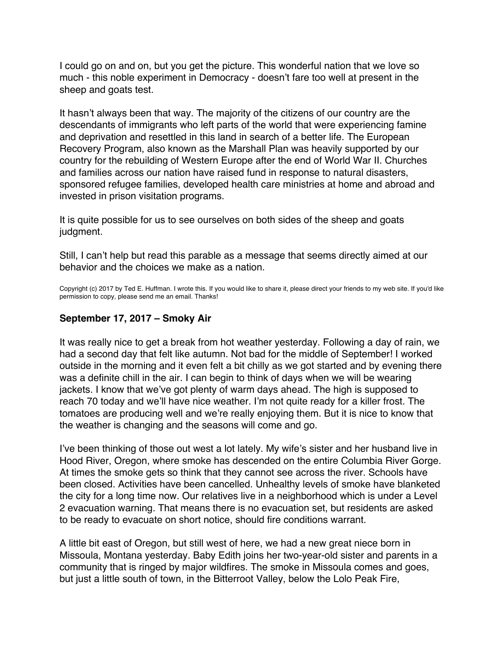<span id="page-34-0"></span>I could go on and on, but you get the picture. This wonderful nation that we love so much - this noble experiment in Democracy - doesn't fare too well at present in the sheep and goats test.

It hasn't always been that way. The majority of the citizens of our country are the descendants of immigrants who left parts of the world that were experiencing famine and deprivation and resettled in this land in search of a better life. The European Recovery Program, also known as the Marshall Plan was heavily supported by our country for the rebuilding of Western Europe after the end of World War II. Churches and families across our nation have raised fund in response to natural disasters, sponsored refugee families, developed health care ministries at home and abroad and invested in prison visitation programs.

It is quite possible for us to see ourselves on both sides of the sheep and goats judgment.

Still, I can't help but read this parable as a message that seems directly aimed at our behavior and the choices we make as a nation.

Copyright (c) 2017 by Ted E. Huffman. I wrote this. If you would like to share it, please direct your friends to my web site. If you'd like permission to copy, please send me an email. Thanks!

### **September 17, 2017 – Smoky Air**

It was really nice to get a break from hot weather yesterday. Following a day of rain, we had a second day that felt like autumn. Not bad for the middle of September! I worked outside in the morning and it even felt a bit chilly as we got started and by evening there was a definite chill in the air. I can begin to think of days when we will be wearing jackets. I know that we've got plenty of warm days ahead. The high is supposed to reach 70 today and we'll have nice weather. I'm not quite ready for a killer frost. The tomatoes are producing well and we're really enjoying them. But it is nice to know that the weather is changing and the seasons will come and go.

I've been thinking of those out west a lot lately. My wife's sister and her husband live in Hood River, Oregon, where smoke has descended on the entire Columbia River Gorge. At times the smoke gets so think that they cannot see across the river. Schools have been closed. Activities have been cancelled. Unhealthy levels of smoke have blanketed the city for a long time now. Our relatives live in a neighborhood which is under a Level 2 evacuation warning. That means there is no evacuation set, but residents are asked to be ready to evacuate on short notice, should fire conditions warrant.

A little bit east of Oregon, but still west of here, we had a new great niece born in Missoula, Montana yesterday. Baby Edith joins her two-year-old sister and parents in a community that is ringed by major wildfires. The smoke in Missoula comes and goes, but just a little south of town, in the Bitterroot Valley, below the Lolo Peak Fire,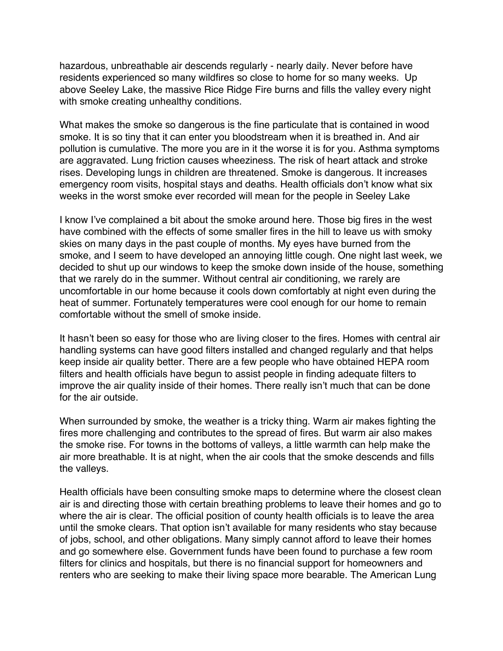hazardous, unbreathable air descends regularly - nearly daily. Never before have residents experienced so many wildfires so close to home for so many weeks. Up above Seeley Lake, the massive Rice Ridge Fire burns and fills the valley every night with smoke creating unhealthy conditions.

What makes the smoke so dangerous is the fine particulate that is contained in wood smoke. It is so tiny that it can enter you bloodstream when it is breathed in. And air pollution is cumulative. The more you are in it the worse it is for you. Asthma symptoms are aggravated. Lung friction causes wheeziness. The risk of heart attack and stroke rises. Developing lungs in children are threatened. Smoke is dangerous. It increases emergency room visits, hospital stays and deaths. Health officials don't know what six weeks in the worst smoke ever recorded will mean for the people in Seeley Lake

I know I've complained a bit about the smoke around here. Those big fires in the west have combined with the effects of some smaller fires in the hill to leave us with smoky skies on many days in the past couple of months. My eyes have burned from the smoke, and I seem to have developed an annoying little cough. One night last week, we decided to shut up our windows to keep the smoke down inside of the house, something that we rarely do in the summer. Without central air conditioning, we rarely are uncomfortable in our home because it cools down comfortably at night even during the heat of summer. Fortunately temperatures were cool enough for our home to remain comfortable without the smell of smoke inside.

It hasn't been so easy for those who are living closer to the fires. Homes with central air handling systems can have good filters installed and changed regularly and that helps keep inside air quality better. There are a few people who have obtained HEPA room filters and health officials have begun to assist people in finding adequate filters to improve the air quality inside of their homes. There really isn't much that can be done for the air outside.

When surrounded by smoke, the weather is a tricky thing. Warm air makes fighting the fires more challenging and contributes to the spread of fires. But warm air also makes the smoke rise. For towns in the bottoms of valleys, a little warmth can help make the air more breathable. It is at night, when the air cools that the smoke descends and fills the valleys.

Health officials have been consulting smoke maps to determine where the closest clean air is and directing those with certain breathing problems to leave their homes and go to where the air is clear. The official position of county health officials is to leave the area until the smoke clears. That option isn't available for many residents who stay because of jobs, school, and other obligations. Many simply cannot afford to leave their homes and go somewhere else. Government funds have been found to purchase a few room filters for clinics and hospitals, but there is no financial support for homeowners and renters who are seeking to make their living space more bearable. The American Lung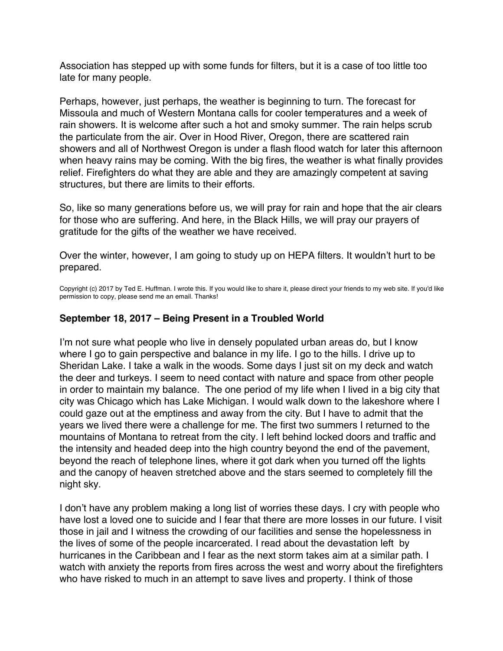<span id="page-36-0"></span>Association has stepped up with some funds for filters, but it is a case of too little too late for many people.

Perhaps, however, just perhaps, the weather is beginning to turn. The forecast for Missoula and much of Western Montana calls for cooler temperatures and a week of rain showers. It is welcome after such a hot and smoky summer. The rain helps scrub the particulate from the air. Over in Hood River, Oregon, there are scattered rain showers and all of Northwest Oregon is under a flash flood watch for later this afternoon when heavy rains may be coming. With the big fires, the weather is what finally provides relief. Firefighters do what they are able and they are amazingly competent at saving structures, but there are limits to their efforts.

So, like so many generations before us, we will pray for rain and hope that the air clears for those who are suffering. And here, in the Black Hills, we will pray our prayers of gratitude for the gifts of the weather we have received.

Over the winter, however, I am going to study up on HEPA filters. It wouldn't hurt to be prepared.

Copyright (c) 2017 by Ted E. Huffman. I wrote this. If you would like to share it, please direct your friends to my web site. If you'd like permission to copy, please send me an email. Thanks!

# **September 18, 2017 – Being Present in a Troubled World**

I'm not sure what people who live in densely populated urban areas do, but I know where I go to gain perspective and balance in my life. I go to the hills. I drive up to Sheridan Lake. I take a walk in the woods. Some days I just sit on my deck and watch the deer and turkeys. I seem to need contact with nature and space from other people in order to maintain my balance. The one period of my life when I lived in a big city that city was Chicago which has Lake Michigan. I would walk down to the lakeshore where I could gaze out at the emptiness and away from the city. But I have to admit that the years we lived there were a challenge for me. The first two summers I returned to the mountains of Montana to retreat from the city. I left behind locked doors and traffic and the intensity and headed deep into the high country beyond the end of the pavement, beyond the reach of telephone lines, where it got dark when you turned off the lights and the canopy of heaven stretched above and the stars seemed to completely fill the night sky.

I don't have any problem making a long list of worries these days. I cry with people who have lost a loved one to suicide and I fear that there are more losses in our future. I visit those in jail and I witness the crowding of our facilities and sense the hopelessness in the lives of some of the people incarcerated. I read about the devastation left by hurricanes in the Caribbean and I fear as the next storm takes aim at a similar path. I watch with anxiety the reports from fires across the west and worry about the firefighters who have risked to much in an attempt to save lives and property. I think of those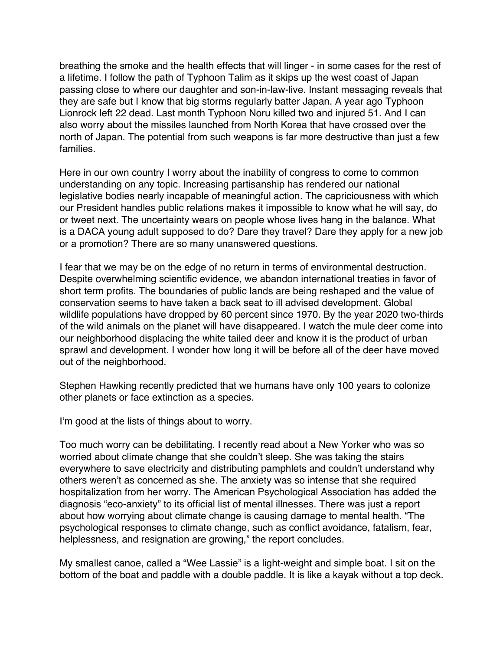breathing the smoke and the health effects that will linger - in some cases for the rest of a lifetime. I follow the path of Typhoon Talim as it skips up the west coast of Japan passing close to where our daughter and son-in-law-live. Instant messaging reveals that they are safe but I know that big storms regularly batter Japan. A year ago Typhoon Lionrock left 22 dead. Last month Typhoon Noru killed two and injured 51. And I can also worry about the missiles launched from North Korea that have crossed over the north of Japan. The potential from such weapons is far more destructive than just a few families.

Here in our own country I worry about the inability of congress to come to common understanding on any topic. Increasing partisanship has rendered our national legislative bodies nearly incapable of meaningful action. The capriciousness with which our President handles public relations makes it impossible to know what he will say, do or tweet next. The uncertainty wears on people whose lives hang in the balance. What is a DACA young adult supposed to do? Dare they travel? Dare they apply for a new job or a promotion? There are so many unanswered questions.

I fear that we may be on the edge of no return in terms of environmental destruction. Despite overwhelming scientific evidence, we abandon international treaties in favor of short term profits. The boundaries of public lands are being reshaped and the value of conservation seems to have taken a back seat to ill advised development. Global wildlife populations have dropped by 60 percent since 1970. By the year 2020 two-thirds of the wild animals on the planet will have disappeared. I watch the mule deer come into our neighborhood displacing the white tailed deer and know it is the product of urban sprawl and development. I wonder how long it will be before all of the deer have moved out of the neighborhood.

Stephen Hawking recently predicted that we humans have only 100 years to colonize other planets or face extinction as a species.

I'm good at the lists of things about to worry.

Too much worry can be debilitating. I recently read about a New Yorker who was so worried about climate change that she couldn't sleep. She was taking the stairs everywhere to save electricity and distributing pamphlets and couldn't understand why others weren't as concerned as she. The anxiety was so intense that she required hospitalization from her worry. The American Psychological Association has added the diagnosis "eco-anxiety" to its official list of mental illnesses. There was just a report about how worrying about climate change is causing damage to mental health. "The psychological responses to climate change, such as conflict avoidance, fatalism, fear, helplessness, and resignation are growing," the report concludes.

My smallest canoe, called a "Wee Lassie" is a light-weight and simple boat. I sit on the bottom of the boat and paddle with a double paddle. It is like a kayak without a top deck.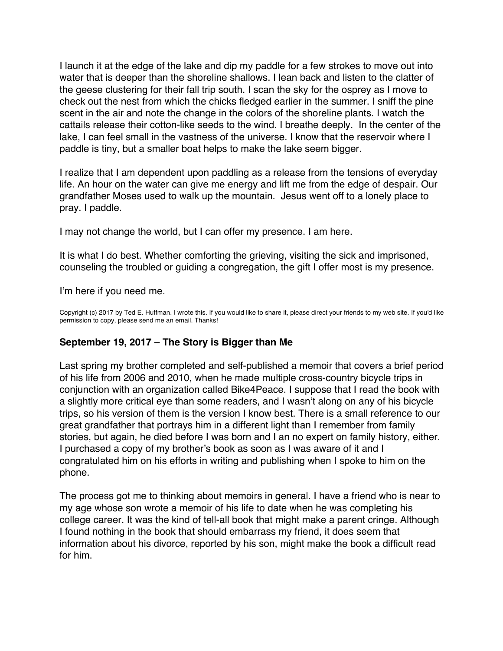<span id="page-38-0"></span>I launch it at the edge of the lake and dip my paddle for a few strokes to move out into water that is deeper than the shoreline shallows. I lean back and listen to the clatter of the geese clustering for their fall trip south. I scan the sky for the osprey as I move to check out the nest from which the chicks fledged earlier in the summer. I sniff the pine scent in the air and note the change in the colors of the shoreline plants. I watch the cattails release their cotton-like seeds to the wind. I breathe deeply. In the center of the lake, I can feel small in the vastness of the universe. I know that the reservoir where I paddle is tiny, but a smaller boat helps to make the lake seem bigger.

I realize that I am dependent upon paddling as a release from the tensions of everyday life. An hour on the water can give me energy and lift me from the edge of despair. Our grandfather Moses used to walk up the mountain. Jesus went off to a lonely place to pray. I paddle.

I may not change the world, but I can offer my presence. I am here.

It is what I do best. Whether comforting the grieving, visiting the sick and imprisoned, counseling the troubled or guiding a congregation, the gift I offer most is my presence.

I'm here if you need me.

Copyright (c) 2017 by Ted E. Huffman. I wrote this. If you would like to share it, please direct your friends to my web site. If you'd like permission to copy, please send me an email. Thanks!

# **September 19, 2017 – The Story is Bigger than Me**

Last spring my brother completed and self-published a memoir that covers a brief period of his life from 2006 and 2010, when he made multiple cross-country bicycle trips in conjunction with an organization called Bike4Peace. I suppose that I read the book with a slightly more critical eye than some readers, and I wasn't along on any of his bicycle trips, so his version of them is the version I know best. There is a small reference to our great grandfather that portrays him in a different light than I remember from family stories, but again, he died before I was born and I an no expert on family history, either. I purchased a copy of my brother's book as soon as I was aware of it and I congratulated him on his efforts in writing and publishing when I spoke to him on the phone.

The process got me to thinking about memoirs in general. I have a friend who is near to my age whose son wrote a memoir of his life to date when he was completing his college career. It was the kind of tell-all book that might make a parent cringe. Although I found nothing in the book that should embarrass my friend, it does seem that information about his divorce, reported by his son, might make the book a difficult read for him.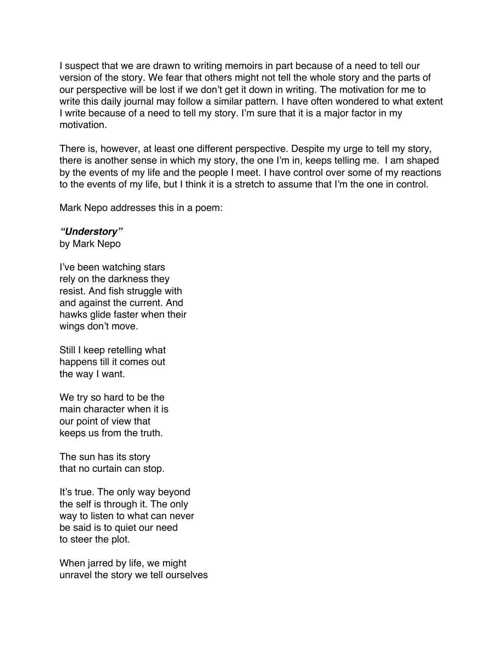I suspect that we are drawn to writing memoirs in part because of a need to tell our version of the story. We fear that others might not tell the whole story and the parts of our perspective will be lost if we don't get it down in writing. The motivation for me to write this daily journal may follow a similar pattern. I have often wondered to what extent I write because of a need to tell my story. I'm sure that it is a major factor in my motivation.

There is, however, at least one different perspective. Despite my urge to tell my story, there is another sense in which my story, the one I'm in, keeps telling me. I am shaped by the events of my life and the people I meet. I have control over some of my reactions to the events of my life, but I think it is a stretch to assume that I'm the one in control.

Mark Nepo addresses this in a poem:

#### *"Understory"*

by Mark Nepo

I've been watching stars rely on the darkness they resist. And fish struggle with and against the current. And hawks glide faster when their wings don't move.

Still I keep retelling what happens till it comes out the way I want.

We try so hard to be the main character when it is our point of view that keeps us from the truth.

The sun has its story that no curtain can stop.

It's true. The only way beyond the self is through it. The only way to listen to what can never be said is to quiet our need to steer the plot.

When jarred by life, we might unravel the story we tell ourselves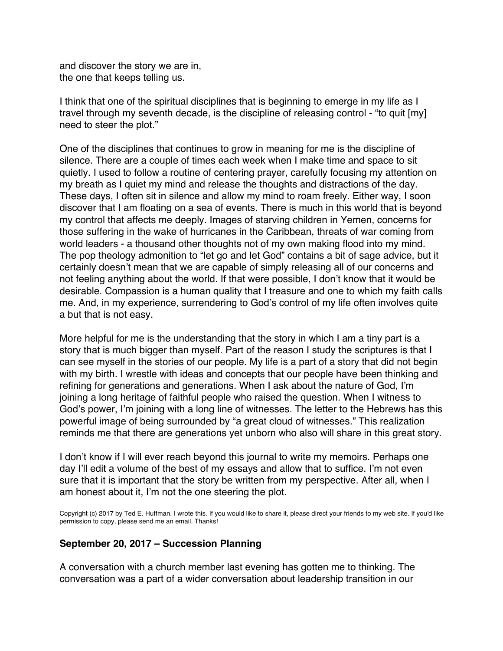and discover the story we are in, the one that keeps telling us.

I think that one of the spiritual disciplines that is beginning to emerge in my life as I travel through my seventh decade, is the discipline of releasing control - "to quit [my] need to steer the plot."

One of the disciplines that continues to grow in meaning for me is the discipline of silence. There are a couple of times each week when I make time and space to sit quietly. I used to follow a routine of centering prayer, carefully focusing my attention on my breath as I quiet my mind and release the thoughts and distractions of the day. These days, I often sit in silence and allow my mind to roam freely. Either way, I soon discover that I am floating on a sea of events. There is much in this world that is beyond my control that affects me deeply. Images of starving children in Yemen, concerns for those suffering in the wake of hurricanes in the Caribbean, threats of war coming from world leaders - a thousand other thoughts not of my own making flood into my mind. The pop theology admonition to "let go and let God" contains a bit of sage advice, but it certainly doesn't mean that we are capable of simply releasing all of our concerns and not feeling anything about the world. If that were possible, I don't know that it would be desirable. Compassion is a human quality that I treasure and one to which my faith calls me. And, in my experience, surrendering to God's control of my life often involves quite a but that is not easy.

More helpful for me is the understanding that the story in which I am a tiny part is a story that is much bigger than myself. Part of the reason I study the scriptures is that I can see myself in the stories of our people. My life is a part of a story that did not begin with my birth. I wrestle with ideas and concepts that our people have been thinking and refining for generations and generations. When I ask about the nature of God, I'm joining a long heritage of faithful people who raised the question. When I witness to God's power, I'm joining with a long line of witnesses. The letter to the Hebrews has this powerful image of being surrounded by "a great cloud of witnesses." This realization reminds me that there are generations yet unborn who also will share in this great story.

I don't know if I will ever reach beyond this journal to write my memoirs. Perhaps one day I'll edit a volume of the best of my essays and allow that to suffice. I'm not even sure that it is important that the story be written from my perspective. After all, when I am honest about it, I'm not the one steering the plot.

Copyright (c) 2017 by Ted E. Huffman. I wrote this. If you would like to share it, please direct your friends to my web site. If you'd like permission to copy, please send me an email. Thanks!

### **September 20, 2017 – Succession Planning**

A conversation with a church member last evening has gotten me to thinking. The conversation was a part of a wider conversation about leadership transition in our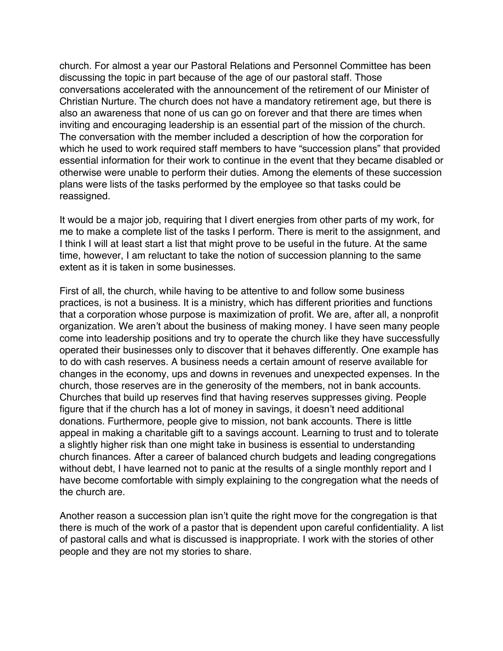<span id="page-41-0"></span>church. For almost a year our Pastoral Relations and Personnel Committee has been discussing the topic in part because of the age of our pastoral staff. Those conversations accelerated with the announcement of the retirement of our Minister of Christian Nurture. The church does not have a mandatory retirement age, but there is also an awareness that none of us can go on forever and that there are times when inviting and encouraging leadership is an essential part of the mission of the church. The conversation with the member included a description of how the corporation for which he used to work required staff members to have "succession plans" that provided essential information for their work to continue in the event that they became disabled or otherwise were unable to perform their duties. Among the elements of these succession plans were lists of the tasks performed by the employee so that tasks could be reassigned.

It would be a major job, requiring that I divert energies from other parts of my work, for me to make a complete list of the tasks I perform. There is merit to the assignment, and I think I will at least start a list that might prove to be useful in the future. At the same time, however, I am reluctant to take the notion of succession planning to the same extent as it is taken in some businesses.

First of all, the church, while having to be attentive to and follow some business practices, is not a business. It is a ministry, which has different priorities and functions that a corporation whose purpose is maximization of profit. We are, after all, a nonprofit organization. We aren't about the business of making money. I have seen many people come into leadership positions and try to operate the church like they have successfully operated their businesses only to discover that it behaves differently. One example has to do with cash reserves. A business needs a certain amount of reserve available for changes in the economy, ups and downs in revenues and unexpected expenses. In the church, those reserves are in the generosity of the members, not in bank accounts. Churches that build up reserves find that having reserves suppresses giving. People figure that if the church has a lot of money in savings, it doesn't need additional donations. Furthermore, people give to mission, not bank accounts. There is little appeal in making a charitable gift to a savings account. Learning to trust and to tolerate a slightly higher risk than one might take in business is essential to understanding church finances. After a career of balanced church budgets and leading congregations without debt, I have learned not to panic at the results of a single monthly report and I have become comfortable with simply explaining to the congregation what the needs of the church are.

Another reason a succession plan isn't quite the right move for the congregation is that there is much of the work of a pastor that is dependent upon careful confidentiality. A list of pastoral calls and what is discussed is inappropriate. I work with the stories of other people and they are not my stories to share.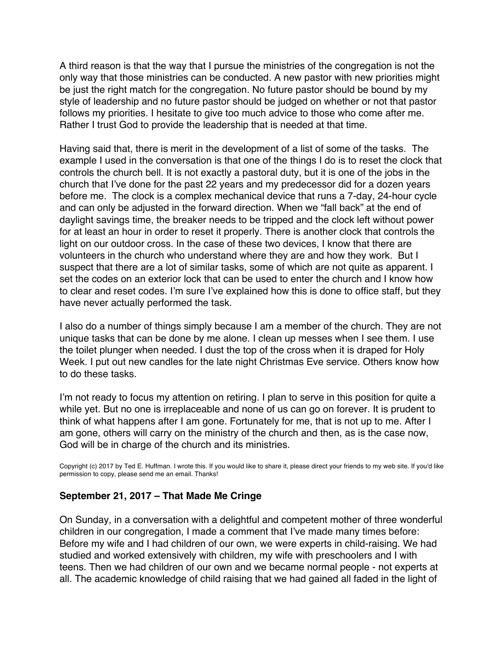A third reason is that the way that I pursue the ministries of the congregation is not the only way that those ministries can be conducted. A new pastor with new priorities might be just the right match for the congregation. No future pastor should be bound by my style of leadership and no future pastor should be judged on whether or not that pastor follows my priorities. I hesitate to give too much advice to those who come after me. Rather I trust God to provide the leadership that is needed at that time.

Having said that, there is merit in the development of a list of some of the tasks. The example I used in the conversation is that one of the things I do is to reset the clock that controls the church bell. It is not exactly a pastoral duty, but it is one of the jobs in the church that I've done for the past 22 years and my predecessor did for a dozen years before me. The clock is a complex mechanical device that runs a 7-day, 24-hour cycle and can only be adjusted in the forward direction. When we "fall back" at the end of daylight savings time, the breaker needs to be tripped and the clock left without power for at least an hour in order to reset it properly. There is another clock that controls the light on our outdoor cross. In the case of these two devices, I know that there are volunteers in the church who understand where they are and how they work. But I suspect that there are a lot of similar tasks, some of which are not quite as apparent. I set the codes on an exterior lock that can be used to enter the church and I know how to clear and reset codes. I'm sure I've explained how this is done to office staff, but they have never actually performed the task.

I also do a number of things simply because I am a member of the church. They are not unique tasks that can be done by me alone. I clean up messes when I see them. I use the toilet plunger when needed. I dust the top of the cross when it is draped for Holy Week. I put out new candles for the late night Christmas Eve service. Others know how to do these tasks.

I'm not ready to focus my attention on retiring. I plan to serve in this position for quite a while yet. But no one is irreplaceable and none of us can go on forever. It is prudent to think of what happens after I am gone. Fortunately for me, that is not up to me. After I am gone, others will carry on the ministry of the church and then, as is the case now, God will be in charge of the church and its ministries.

Copyright (c) 2017 by Ted E. Huffman. I wrote this. If you would like to share it, please direct your friends to my web site. If you'd like permission to copy, please send me an email. Thanks!

### **September 21, 2017 – That Made Me Cringe**

On Sunday, in a conversation with a delightful and competent mother of three wonderful children in our congregation, I made a comment that I've made many times before: Before my wife and I had children of our own, we were experts in child-raising. We had studied and worked extensively with children, my wife with preschoolers and I with teens. Then we had children of our own and we became normal people - not experts at all. The academic knowledge of child raising that we had gained all faded in the light of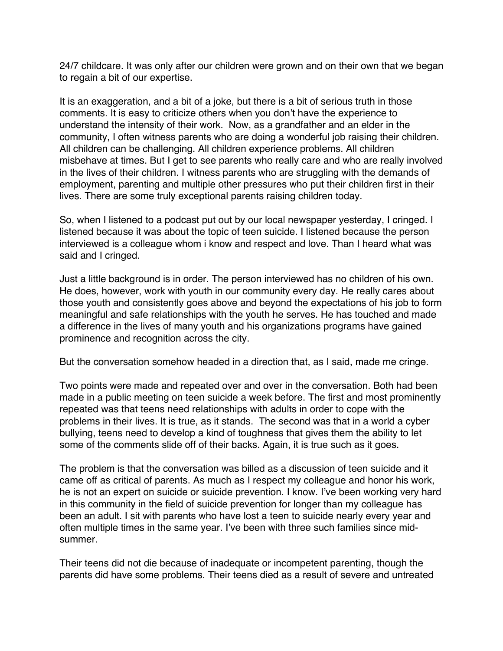<span id="page-43-0"></span>24/7 childcare. It was only after our children were grown and on their own that we began to regain a bit of our expertise.

It is an exaggeration, and a bit of a joke, but there is a bit of serious truth in those comments. It is easy to criticize others when you don't have the experience to understand the intensity of their work. Now, as a grandfather and an elder in the community, I often witness parents who are doing a wonderful job raising their children. All children can be challenging. All children experience problems. All children misbehave at times. But I get to see parents who really care and who are really involved in the lives of their children. I witness parents who are struggling with the demands of employment, parenting and multiple other pressures who put their children first in their lives. There are some truly exceptional parents raising children today.

So, when I listened to a podcast put out by our local newspaper yesterday, I cringed. I listened because it was about the topic of teen suicide. I listened because the person interviewed is a colleague whom i know and respect and love. Than I heard what was said and I cringed.

Just a little background is in order. The person interviewed has no children of his own. He does, however, work with youth in our community every day. He really cares about those youth and consistently goes above and beyond the expectations of his job to form meaningful and safe relationships with the youth he serves. He has touched and made a difference in the lives of many youth and his organizations programs have gained prominence and recognition across the city.

But the conversation somehow headed in a direction that, as I said, made me cringe.

Two points were made and repeated over and over in the conversation. Both had been made in a public meeting on teen suicide a week before. The first and most prominently repeated was that teens need relationships with adults in order to cope with the problems in their lives. It is true, as it stands. The second was that in a world a cyber bullying, teens need to develop a kind of toughness that gives them the ability to let some of the comments slide off of their backs. Again, it is true such as it goes.

The problem is that the conversation was billed as a discussion of teen suicide and it came off as critical of parents. As much as I respect my colleague and honor his work, he is not an expert on suicide or suicide prevention. I know. I've been working very hard in this community in the field of suicide prevention for longer than my colleague has been an adult. I sit with parents who have lost a teen to suicide nearly every year and often multiple times in the same year. I've been with three such families since midsummer.

Their teens did not die because of inadequate or incompetent parenting, though the parents did have some problems. Their teens died as a result of severe and untreated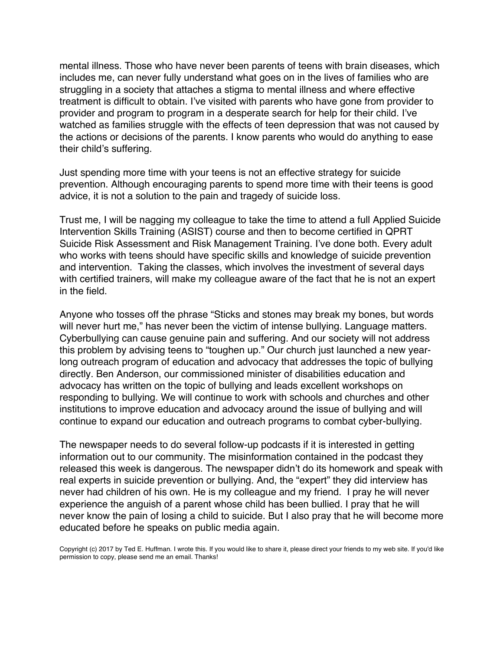mental illness. Those who have never been parents of teens with brain diseases, which includes me, can never fully understand what goes on in the lives of families who are struggling in a society that attaches a stigma to mental illness and where effective treatment is difficult to obtain. I've visited with parents who have gone from provider to provider and program to program in a desperate search for help for their child. I've watched as families struggle with the effects of teen depression that was not caused by the actions or decisions of the parents. I know parents who would do anything to ease their child's suffering.

Just spending more time with your teens is not an effective strategy for suicide prevention. Although encouraging parents to spend more time with their teens is good advice, it is not a solution to the pain and tragedy of suicide loss.

Trust me, I will be nagging my colleague to take the time to attend a full Applied Suicide Intervention Skills Training (ASIST) course and then to become certified in QPRT Suicide Risk Assessment and Risk Management Training. I've done both. Every adult who works with teens should have specific skills and knowledge of suicide prevention and intervention. Taking the classes, which involves the investment of several days with certified trainers, will make my colleague aware of the fact that he is not an expert in the field.

Anyone who tosses off the phrase "Sticks and stones may break my bones, but words will never hurt me," has never been the victim of intense bullying. Language matters. Cyberbullying can cause genuine pain and suffering. And our society will not address this problem by advising teens to "toughen up." Our church just launched a new yearlong outreach program of education and advocacy that addresses the topic of bullying directly. Ben Anderson, our commissioned minister of disabilities education and advocacy has written on the topic of bullying and leads excellent workshops on responding to bullying. We will continue to work with schools and churches and other institutions to improve education and advocacy around the issue of bullying and will continue to expand our education and outreach programs to combat cyber-bullying.

The newspaper needs to do several follow-up podcasts if it is interested in getting information out to our community. The misinformation contained in the podcast they released this week is dangerous. The newspaper didn't do its homework and speak with real experts in suicide prevention or bullying. And, the "expert" they did interview has never had children of his own. He is my colleague and my friend. I pray he will never experience the anguish of a parent whose child has been bullied. I pray that he will never know the pain of losing a child to suicide. But I also pray that he will become more educated before he speaks on public media again.

Copyright (c) 2017 by Ted E. Huffman. I wrote this. If you would like to share it, please direct your friends to my web site. If you'd like permission to copy, please send me an email. Thanks!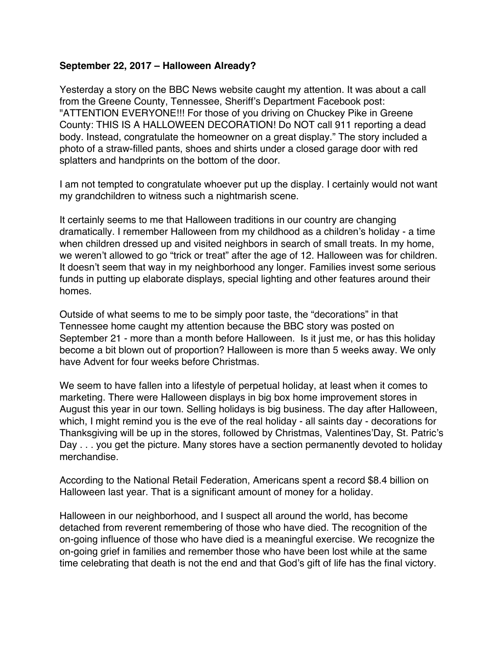### <span id="page-45-0"></span>**September 22, 2017 – Halloween Already?**

Yesterday a story on the BBC News website caught my attention. It was about a call from the Greene County, Tennessee, Sheriff's Department Facebook post: "ATTENTION EVERYONE!!! For those of you driving on Chuckey Pike in Greene County: THIS IS A HALLOWEEN DECORATION! Do NOT call 911 reporting a dead body. Instead, congratulate the homeowner on a great display." The story included a photo of a straw-filled pants, shoes and shirts under a closed garage door with red splatters and handprints on the bottom of the door.

I am not tempted to congratulate whoever put up the display. I certainly would not want my grandchildren to witness such a nightmarish scene.

It certainly seems to me that Halloween traditions in our country are changing dramatically. I remember Halloween from my childhood as a children's holiday - a time when children dressed up and visited neighbors in search of small treats. In my home, we weren't allowed to go "trick or treat" after the age of 12. Halloween was for children. It doesn't seem that way in my neighborhood any longer. Families invest some serious funds in putting up elaborate displays, special lighting and other features around their homes.

Outside of what seems to me to be simply poor taste, the "decorations" in that Tennessee home caught my attention because the BBC story was posted on September 21 - more than a month before Halloween. Is it just me, or has this holiday become a bit blown out of proportion? Halloween is more than 5 weeks away. We only have Advent for four weeks before Christmas.

We seem to have fallen into a lifestyle of perpetual holiday, at least when it comes to marketing. There were Halloween displays in big box home improvement stores in August this year in our town. Selling holidays is big business. The day after Halloween, which, I might remind you is the eve of the real holiday - all saints day - decorations for Thanksgiving will be up in the stores, followed by Christmas, Valentines'Day, St. Patric's Day . . . you get the picture. Many stores have a section permanently devoted to holiday merchandise.

According to the National Retail Federation, Americans spent a record \$8.4 billion on Halloween last year. That is a significant amount of money for a holiday.

Halloween in our neighborhood, and I suspect all around the world, has become detached from reverent remembering of those who have died. The recognition of the on-going influence of those who have died is a meaningful exercise. We recognize the on-going grief in families and remember those who have been lost while at the same time celebrating that death is not the end and that God's gift of life has the final victory.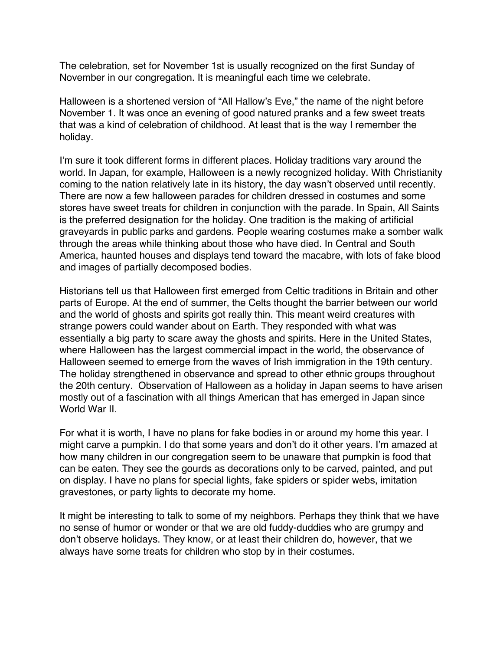The celebration, set for November 1st is usually recognized on the first Sunday of November in our congregation. It is meaningful each time we celebrate.

Halloween is a shortened version of "All Hallow's Eve," the name of the night before November 1. It was once an evening of good natured pranks and a few sweet treats that was a kind of celebration of childhood. At least that is the way I remember the holiday.

I'm sure it took different forms in different places. Holiday traditions vary around the world. In Japan, for example, Halloween is a newly recognized holiday. With Christianity coming to the nation relatively late in its history, the day wasn't observed until recently. There are now a few halloween parades for children dressed in costumes and some stores have sweet treats for children in conjunction with the parade. In Spain, All Saints is the preferred designation for the holiday. One tradition is the making of artificial graveyards in public parks and gardens. People wearing costumes make a somber walk through the areas while thinking about those who have died. In Central and South America, haunted houses and displays tend toward the macabre, with lots of fake blood and images of partially decomposed bodies.

Historians tell us that Halloween first emerged from Celtic traditions in Britain and other parts of Europe. At the end of summer, the Celts thought the barrier between our world and the world of ghosts and spirits got really thin. This meant weird creatures with strange powers could wander about on Earth. They responded with what was essentially a big party to scare away the ghosts and spirits. Here in the United States, where Halloween has the largest commercial impact in the world, the observance of Halloween seemed to emerge from the waves of Irish immigration in the 19th century. The holiday strengthened in observance and spread to other ethnic groups throughout the 20th century. Observation of Halloween as a holiday in Japan seems to have arisen mostly out of a fascination with all things American that has emerged in Japan since World War II.

For what it is worth, I have no plans for fake bodies in or around my home this year. I might carve a pumpkin. I do that some years and don't do it other years. I'm amazed at how many children in our congregation seem to be unaware that pumpkin is food that can be eaten. They see the gourds as decorations only to be carved, painted, and put on display. I have no plans for special lights, fake spiders or spider webs, imitation gravestones, or party lights to decorate my home.

It might be interesting to talk to some of my neighbors. Perhaps they think that we have no sense of humor or wonder or that we are old fuddy-duddies who are grumpy and don't observe holidays. They know, or at least their children do, however, that we always have some treats for children who stop by in their costumes.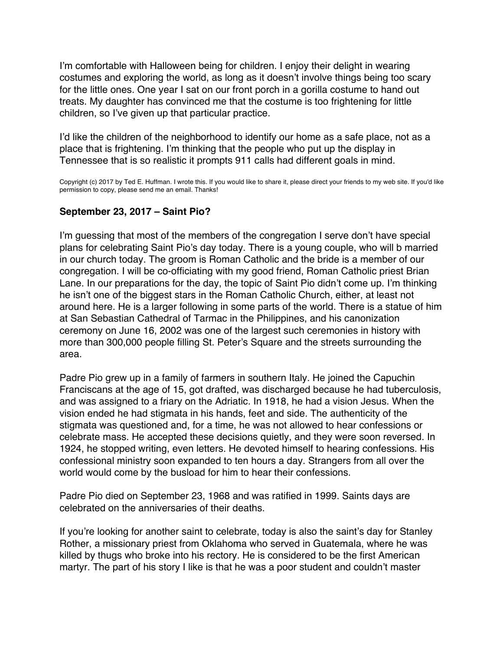<span id="page-47-0"></span>I'm comfortable with Halloween being for children. I enjoy their delight in wearing costumes and exploring the world, as long as it doesn't involve things being too scary for the little ones. One year I sat on our front porch in a gorilla costume to hand out treats. My daughter has convinced me that the costume is too frightening for little children, so I've given up that particular practice.

I'd like the children of the neighborhood to identify our home as a safe place, not as a place that is frightening. I'm thinking that the people who put up the display in Tennessee that is so realistic it prompts 911 calls had different goals in mind.

Copyright (c) 2017 by Ted E. Huffman. I wrote this. If you would like to share it, please direct your friends to my web site. If you'd like permission to copy, please send me an email. Thanks!

### **September 23, 2017 – Saint Pio?**

I'm guessing that most of the members of the congregation I serve don't have special plans for celebrating Saint Pio's day today. There is a young couple, who will b married in our church today. The groom is Roman Catholic and the bride is a member of our congregation. I will be co-officiating with my good friend, Roman Catholic priest Brian Lane. In our preparations for the day, the topic of Saint Pio didn't come up. I'm thinking he isn't one of the biggest stars in the Roman Catholic Church, either, at least not around here. He is a larger following in some parts of the world. There is a statue of him at San Sebastian Cathedral of Tarmac in the Philippines, and his canonization ceremony on June 16, 2002 was one of the largest such ceremonies in history with more than 300,000 people filling St. Peter's Square and the streets surrounding the area.

Padre Pio grew up in a family of farmers in southern Italy. He joined the Capuchin Franciscans at the age of 15, got drafted, was discharged because he had tuberculosis, and was assigned to a friary on the Adriatic. In 1918, he had a vision Jesus. When the vision ended he had stigmata in his hands, feet and side. The authenticity of the stigmata was questioned and, for a time, he was not allowed to hear confessions or celebrate mass. He accepted these decisions quietly, and they were soon reversed. In 1924, he stopped writing, even letters. He devoted himself to hearing confessions. His confessional ministry soon expanded to ten hours a day. Strangers from all over the world would come by the busload for him to hear their confessions.

Padre Pio died on September 23, 1968 and was ratified in 1999. Saints days are celebrated on the anniversaries of their deaths.

If you're looking for another saint to celebrate, today is also the saint's day for Stanley Rother, a missionary priest from Oklahoma who served in Guatemala, where he was killed by thugs who broke into his rectory. He is considered to be the first American martyr. The part of his story I like is that he was a poor student and couldn't master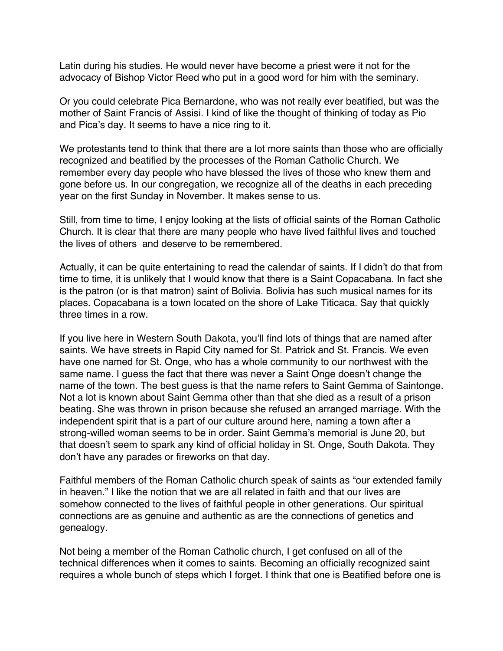Latin during his studies. He would never have become a priest were it not for the advocacy of Bishop Victor Reed who put in a good word for him with the seminary.

Or you could celebrate Pica Bernardone, who was not really ever beatified, but was the mother of Saint Francis of Assisi. I kind of like the thought of thinking of today as Pio and Pica's day. It seems to have a nice ring to it.

We protestants tend to think that there are a lot more saints than those who are officially recognized and beatified by the processes of the Roman Catholic Church. We remember every day people who have blessed the lives of those who knew them and gone before us. In our congregation, we recognize all of the deaths in each preceding year on the first Sunday in November. It makes sense to us.

Still, from time to time, I enjoy looking at the lists of official saints of the Roman Catholic Church. It is clear that there are many people who have lived faithful lives and touched the lives of others and deserve to be remembered.

Actually, it can be quite entertaining to read the calendar of saints. If I didn't do that from time to time, it is unlikely that I would know that there is a Saint Copacabana. In fact she is the patron (or is that matron) saint of Bolivia. Bolivia has such musical names for its places. Copacabana is a town located on the shore of Lake Titicaca. Say that quickly three times in a row.

If you live here in Western South Dakota, you'll find lots of things that are named after saints. We have streets in Rapid City named for St. Patrick and St. Francis. We even have one named for St. Onge, who has a whole community to our northwest with the same name. I guess the fact that there was never a Saint Onge doesn't change the name of the town. The best guess is that the name refers to Saint Gemma of Saintonge. Not a lot is known about Saint Gemma other than that she died as a result of a prison beating. She was thrown in prison because she refused an arranged marriage. With the independent spirit that is a part of our culture around here, naming a town after a strong-willed woman seems to be in order. Saint Gemma's memorial is June 20, but that doesn't seem to spark any kind of official holiday in St. Onge, South Dakota. They don't have any parades or fireworks on that day.

Faithful members of the Roman Catholic church speak of saints as "our extended family in heaven." I like the notion that we are all related in faith and that our lives are somehow connected to the lives of faithful people in other generations. Our spiritual connections are as genuine and authentic as are the connections of genetics and genealogy.

Not being a member of the Roman Catholic church, I get confused on all of the technical differences when it comes to saints. Becoming an officially recognized saint requires a whole bunch of steps which I forget. I think that one is Beatified before one is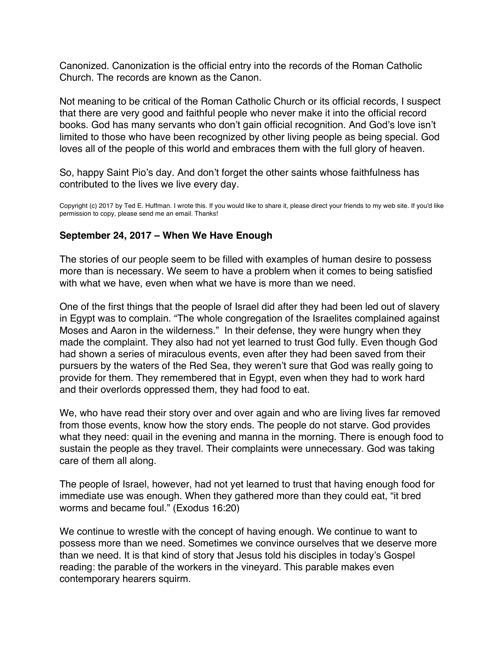<span id="page-49-0"></span>Canonized. Canonization is the official entry into the records of the Roman Catholic Church. The records are known as the Canon.

Not meaning to be critical of the Roman Catholic Church or its official records, I suspect that there are very good and faithful people who never make it into the official record books. God has many servants who don't gain official recognition. And God's love isn't limited to those who have been recognized by other living people as being special. God loves all of the people of this world and embraces them with the full glory of heaven.

So, happy Saint Pio's day. And don't forget the other saints whose faithfulness has contributed to the lives we live every day.

Copyright (c) 2017 by Ted E. Huffman. I wrote this. If you would like to share it, please direct your friends to my web site. If you'd like permission to copy, please send me an email. Thanks!

### **September 24, 2017 – When We Have Enough**

The stories of our people seem to be filled with examples of human desire to possess more than is necessary. We seem to have a problem when it comes to being satisfied with what we have, even when what we have is more than we need.

One of the first things that the people of Israel did after they had been led out of slavery in Egypt was to complain. "The whole congregation of the Israelites complained against Moses and Aaron in the wilderness." In their defense, they were hungry when they made the complaint. They also had not yet learned to trust God fully. Even though God had shown a series of miraculous events, even after they had been saved from their pursuers by the waters of the Red Sea, they weren't sure that God was really going to provide for them. They remembered that in Egypt, even when they had to work hard and their overlords oppressed them, they had food to eat.

We, who have read their story over and over again and who are living lives far removed from those events, know how the story ends. The people do not starve. God provides what they need: quail in the evening and manna in the morning. There is enough food to sustain the people as they travel. Their complaints were unnecessary. God was taking care of them all along.

The people of Israel, however, had not yet learned to trust that having enough food for immediate use was enough. When they gathered more than they could eat, "it bred worms and became foul." (Exodus 16:20)

We continue to wrestle with the concept of having enough. We continue to want to possess more than we need. Sometimes we convince ourselves that we deserve more than we need. It is that kind of story that Jesus told his disciples in today's Gospel reading: the parable of the workers in the vineyard. This parable makes even contemporary hearers squirm.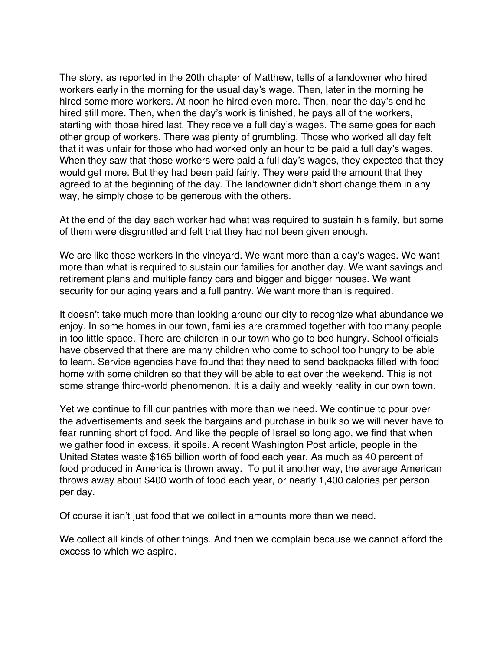The story, as reported in the 20th chapter of Matthew, tells of a landowner who hired workers early in the morning for the usual day's wage. Then, later in the morning he hired some more workers. At noon he hired even more. Then, near the day's end he hired still more. Then, when the day's work is finished, he pays all of the workers, starting with those hired last. They receive a full day's wages. The same goes for each other group of workers. There was plenty of grumbling. Those who worked all day felt that it was unfair for those who had worked only an hour to be paid a full day's wages. When they saw that those workers were paid a full day's wages, they expected that they would get more. But they had been paid fairly. They were paid the amount that they agreed to at the beginning of the day. The landowner didn't short change them in any way, he simply chose to be generous with the others.

At the end of the day each worker had what was required to sustain his family, but some of them were disgruntled and felt that they had not been given enough.

We are like those workers in the vineyard. We want more than a day's wages. We want more than what is required to sustain our families for another day. We want savings and retirement plans and multiple fancy cars and bigger and bigger houses. We want security for our aging years and a full pantry. We want more than is required.

It doesn't take much more than looking around our city to recognize what abundance we enjoy. In some homes in our town, families are crammed together with too many people in too little space. There are children in our town who go to bed hungry. School officials have observed that there are many children who come to school too hungry to be able to learn. Service agencies have found that they need to send backpacks filled with food home with some children so that they will be able to eat over the weekend. This is not some strange third-world phenomenon. It is a daily and weekly reality in our own town.

Yet we continue to fill our pantries with more than we need. We continue to pour over the advertisements and seek the bargains and purchase in bulk so we will never have to fear running short of food. And like the people of Israel so long ago, we find that when we gather food in excess, it spoils. A recent Washington Post article, people in the United States waste \$165 billion worth of food each year. As much as 40 percent of food produced in America is thrown away. To put it another way, the average American throws away about \$400 worth of food each year, or nearly 1,400 calories per person per day.

Of course it isn't just food that we collect in amounts more than we need.

We collect all kinds of other things. And then we complain because we cannot afford the excess to which we aspire.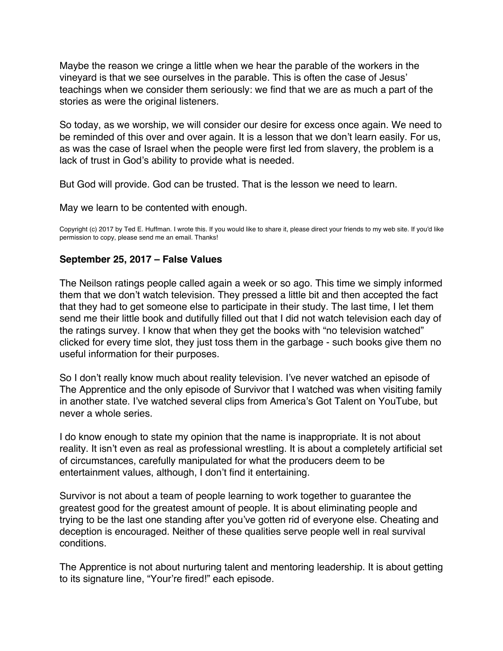<span id="page-51-0"></span>Maybe the reason we cringe a little when we hear the parable of the workers in the vineyard is that we see ourselves in the parable. This is often the case of Jesus' teachings when we consider them seriously: we find that we are as much a part of the stories as were the original listeners.

So today, as we worship, we will consider our desire for excess once again. We need to be reminded of this over and over again. It is a lesson that we don't learn easily. For us, as was the case of Israel when the people were first led from slavery, the problem is a lack of trust in God's ability to provide what is needed.

But God will provide. God can be trusted. That is the lesson we need to learn.

May we learn to be contented with enough.

Copyright (c) 2017 by Ted E. Huffman. I wrote this. If you would like to share it, please direct your friends to my web site. If you'd like permission to copy, please send me an email. Thanks!

#### **September 25, 2017 – False Values**

The Neilson ratings people called again a week or so ago. This time we simply informed them that we don't watch television. They pressed a little bit and then accepted the fact that they had to get someone else to participate in their study. The last time, I let them send me their little book and dutifully filled out that I did not watch television each day of the ratings survey. I know that when they get the books with "no television watched" clicked for every time slot, they just toss them in the garbage - such books give them no useful information for their purposes.

So I don't really know much about reality television. I've never watched an episode of The Apprentice and the only episode of Survivor that I watched was when visiting family in another state. I've watched several clips from America's Got Talent on YouTube, but never a whole series.

I do know enough to state my opinion that the name is inappropriate. It is not about reality. It isn't even as real as professional wrestling. It is about a completely artificial set of circumstances, carefully manipulated for what the producers deem to be entertainment values, although, I don't find it entertaining.

Survivor is not about a team of people learning to work together to guarantee the greatest good for the greatest amount of people. It is about eliminating people and trying to be the last one standing after you've gotten rid of everyone else. Cheating and deception is encouraged. Neither of these qualities serve people well in real survival conditions.

The Apprentice is not about nurturing talent and mentoring leadership. It is about getting to its signature line, "Your're fired!" each episode.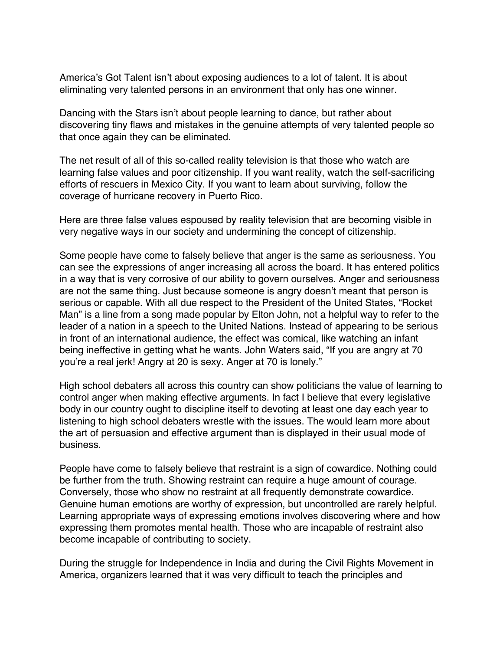America's Got Talent isn't about exposing audiences to a lot of talent. It is about eliminating very talented persons in an environment that only has one winner.

Dancing with the Stars isn't about people learning to dance, but rather about discovering tiny flaws and mistakes in the genuine attempts of very talented people so that once again they can be eliminated.

The net result of all of this so-called reality television is that those who watch are learning false values and poor citizenship. If you want reality, watch the self-sacrificing efforts of rescuers in Mexico City. If you want to learn about surviving, follow the coverage of hurricane recovery in Puerto Rico.

Here are three false values espoused by reality television that are becoming visible in very negative ways in our society and undermining the concept of citizenship.

Some people have come to falsely believe that anger is the same as seriousness. You can see the expressions of anger increasing all across the board. It has entered politics in a way that is very corrosive of our ability to govern ourselves. Anger and seriousness are not the same thing. Just because someone is angry doesn't meant that person is serious or capable. With all due respect to the President of the United States, "Rocket Man" is a line from a song made popular by Elton John, not a helpful way to refer to the leader of a nation in a speech to the United Nations. Instead of appearing to be serious in front of an international audience, the effect was comical, like watching an infant being ineffective in getting what he wants. John Waters said, "If you are angry at 70 you're a real jerk! Angry at 20 is sexy. Anger at 70 is lonely."

High school debaters all across this country can show politicians the value of learning to control anger when making effective arguments. In fact I believe that every legislative body in our country ought to discipline itself to devoting at least one day each year to listening to high school debaters wrestle with the issues. The would learn more about the art of persuasion and effective argument than is displayed in their usual mode of business.

People have come to falsely believe that restraint is a sign of cowardice. Nothing could be further from the truth. Showing restraint can require a huge amount of courage. Conversely, those who show no restraint at all frequently demonstrate cowardice. Genuine human emotions are worthy of expression, but uncontrolled are rarely helpful. Learning appropriate ways of expressing emotions involves discovering where and how expressing them promotes mental health. Those who are incapable of restraint also become incapable of contributing to society.

During the struggle for Independence in India and during the Civil Rights Movement in America, organizers learned that it was very difficult to teach the principles and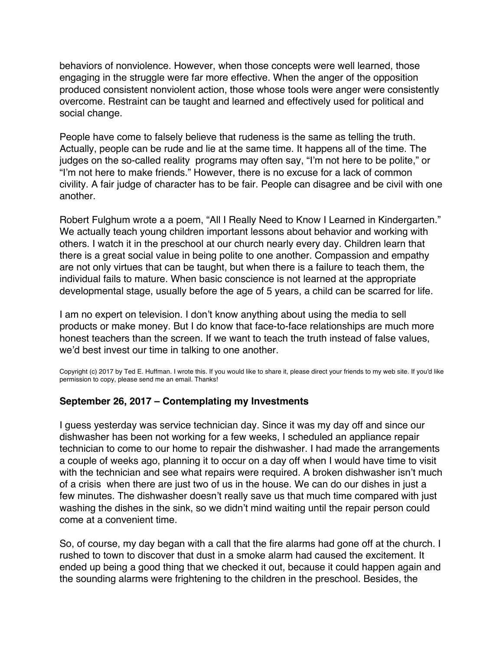<span id="page-53-0"></span>behaviors of nonviolence. However, when those concepts were well learned, those engaging in the struggle were far more effective. When the anger of the opposition produced consistent nonviolent action, those whose tools were anger were consistently overcome. Restraint can be taught and learned and effectively used for political and social change.

People have come to falsely believe that rudeness is the same as telling the truth. Actually, people can be rude and lie at the same time. It happens all of the time. The judges on the so-called reality programs may often say, "I'm not here to be polite," or "I'm not here to make friends." However, there is no excuse for a lack of common civility. A fair judge of character has to be fair. People can disagree and be civil with one another.

Robert Fulghum wrote a a poem, "All I Really Need to Know I Learned in Kindergarten." We actually teach young children important lessons about behavior and working with others. I watch it in the preschool at our church nearly every day. Children learn that there is a great social value in being polite to one another. Compassion and empathy are not only virtues that can be taught, but when there is a failure to teach them, the individual fails to mature. When basic conscience is not learned at the appropriate developmental stage, usually before the age of 5 years, a child can be scarred for life.

I am no expert on television. I don't know anything about using the media to sell products or make money. But I do know that face-to-face relationships are much more honest teachers than the screen. If we want to teach the truth instead of false values, we'd best invest our time in talking to one another.

Copyright (c) 2017 by Ted E. Huffman. I wrote this. If you would like to share it, please direct your friends to my web site. If you'd like permission to copy, please send me an email. Thanks!

### **September 26, 2017 – Contemplating my Investments**

I guess yesterday was service technician day. Since it was my day off and since our dishwasher has been not working for a few weeks, I scheduled an appliance repair technician to come to our home to repair the dishwasher. I had made the arrangements a couple of weeks ago, planning it to occur on a day off when I would have time to visit with the technician and see what repairs were required. A broken dishwasher isn't much of a crisis when there are just two of us in the house. We can do our dishes in just a few minutes. The dishwasher doesn't really save us that much time compared with just washing the dishes in the sink, so we didn't mind waiting until the repair person could come at a convenient time.

So, of course, my day began with a call that the fire alarms had gone off at the church. I rushed to town to discover that dust in a smoke alarm had caused the excitement. It ended up being a good thing that we checked it out, because it could happen again and the sounding alarms were frightening to the children in the preschool. Besides, the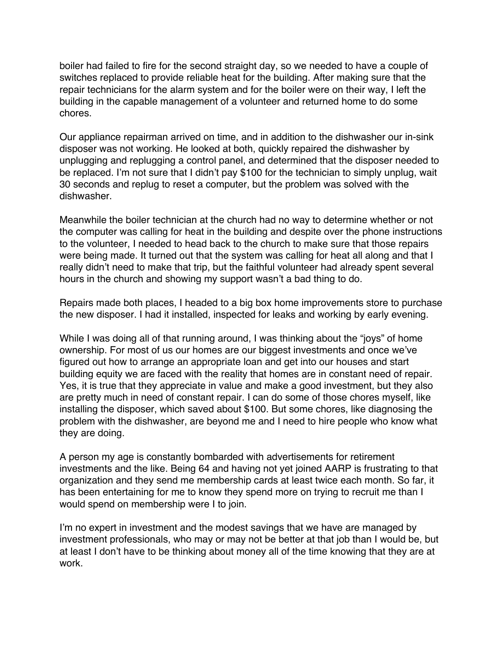boiler had failed to fire for the second straight day, so we needed to have a couple of switches replaced to provide reliable heat for the building. After making sure that the repair technicians for the alarm system and for the boiler were on their way, I left the building in the capable management of a volunteer and returned home to do some chores.

Our appliance repairman arrived on time, and in addition to the dishwasher our in-sink disposer was not working. He looked at both, quickly repaired the dishwasher by unplugging and replugging a control panel, and determined that the disposer needed to be replaced. I'm not sure that I didn't pay \$100 for the technician to simply unplug, wait 30 seconds and replug to reset a computer, but the problem was solved with the dishwasher.

Meanwhile the boiler technician at the church had no way to determine whether or not the computer was calling for heat in the building and despite over the phone instructions to the volunteer, I needed to head back to the church to make sure that those repairs were being made. It turned out that the system was calling for heat all along and that I really didn't need to make that trip, but the faithful volunteer had already spent several hours in the church and showing my support wasn't a bad thing to do.

Repairs made both places, I headed to a big box home improvements store to purchase the new disposer. I had it installed, inspected for leaks and working by early evening.

While I was doing all of that running around, I was thinking about the "joys" of home ownership. For most of us our homes are our biggest investments and once we've figured out how to arrange an appropriate loan and get into our houses and start building equity we are faced with the reality that homes are in constant need of repair. Yes, it is true that they appreciate in value and make a good investment, but they also are pretty much in need of constant repair. I can do some of those chores myself, like installing the disposer, which saved about \$100. But some chores, like diagnosing the problem with the dishwasher, are beyond me and I need to hire people who know what they are doing.

A person my age is constantly bombarded with advertisements for retirement investments and the like. Being 64 and having not yet joined AARP is frustrating to that organization and they send me membership cards at least twice each month. So far, it has been entertaining for me to know they spend more on trying to recruit me than I would spend on membership were I to join.

I'm no expert in investment and the modest savings that we have are managed by investment professionals, who may or may not be better at that job than I would be, but at least I don't have to be thinking about money all of the time knowing that they are at work.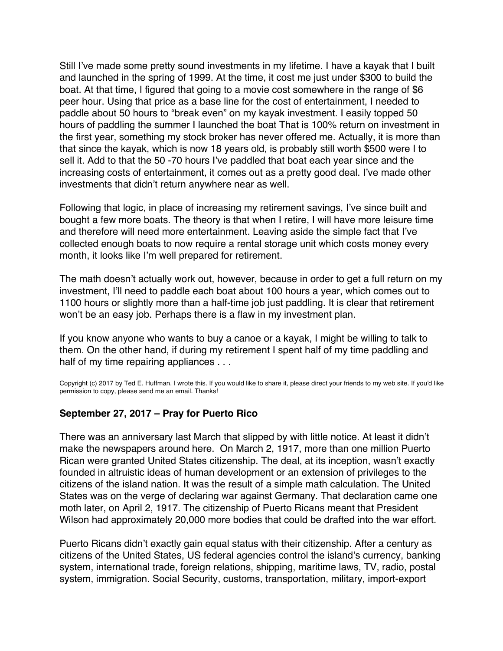<span id="page-55-0"></span>Still I've made some pretty sound investments in my lifetime. I have a kayak that I built and launched in the spring of 1999. At the time, it cost me just under \$300 to build the boat. At that time, I figured that going to a movie cost somewhere in the range of \$6 peer hour. Using that price as a base line for the cost of entertainment, I needed to paddle about 50 hours to "break even" on my kayak investment. I easily topped 50 hours of paddling the summer I launched the boat That is 100% return on investment in the first year, something my stock broker has never offered me. Actually, it is more than that since the kayak, which is now 18 years old, is probably still worth \$500 were I to sell it. Add to that the 50 -70 hours I've paddled that boat each year since and the increasing costs of entertainment, it comes out as a pretty good deal. I've made other investments that didn't return anywhere near as well.

Following that logic, in place of increasing my retirement savings, I've since built and bought a few more boats. The theory is that when I retire, I will have more leisure time and therefore will need more entertainment. Leaving aside the simple fact that I've collected enough boats to now require a rental storage unit which costs money every month, it looks like I'm well prepared for retirement.

The math doesn't actually work out, however, because in order to get a full return on my investment, I'll need to paddle each boat about 100 hours a year, which comes out to 1100 hours or slightly more than a half-time job just paddling. It is clear that retirement won't be an easy job. Perhaps there is a flaw in my investment plan.

If you know anyone who wants to buy a canoe or a kayak, I might be willing to talk to them. On the other hand, if during my retirement I spent half of my time paddling and half of my time repairing appliances . . .

Copyright (c) 2017 by Ted E. Huffman. I wrote this. If you would like to share it, please direct your friends to my web site. If you'd like permission to copy, please send me an email. Thanks!

### **September 27, 2017 – Pray for Puerto Rico**

There was an anniversary last March that slipped by with little notice. At least it didn't make the newspapers around here. On March 2, 1917, more than one million Puerto Rican were granted United States citizenship. The deal, at its inception, wasn't exactly founded in altruistic ideas of human development or an extension of privileges to the citizens of the island nation. It was the result of a simple math calculation. The United States was on the verge of declaring war against Germany. That declaration came one moth later, on April 2, 1917. The citizenship of Puerto Ricans meant that President Wilson had approximately 20,000 more bodies that could be drafted into the war effort.

Puerto Ricans didn't exactly gain equal status with their citizenship. After a century as citizens of the United States, US federal agencies control the island's currency, banking system, international trade, foreign relations, shipping, maritime laws, TV, radio, postal system, immigration. Social Security, customs, transportation, military, import-export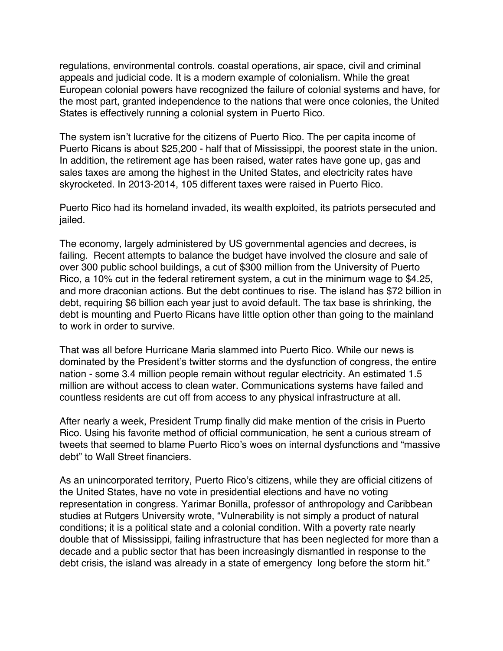regulations, environmental controls. coastal operations, air space, civil and criminal appeals and judicial code. It is a modern example of colonialism. While the great European colonial powers have recognized the failure of colonial systems and have, for the most part, granted independence to the nations that were once colonies, the United States is effectively running a colonial system in Puerto Rico.

The system isn't lucrative for the citizens of Puerto Rico. The per capita income of Puerto Ricans is about \$25,200 - half that of Mississippi, the poorest state in the union. In addition, the retirement age has been raised, water rates have gone up, gas and sales taxes are among the highest in the United States, and electricity rates have skyrocketed. In 2013-2014, 105 different taxes were raised in Puerto Rico.

Puerto Rico had its homeland invaded, its wealth exploited, its patriots persecuted and jailed.

The economy, largely administered by US governmental agencies and decrees, is failing. Recent attempts to balance the budget have involved the closure and sale of over 300 public school buildings, a cut of \$300 million from the University of Puerto Rico, a 10% cut in the federal retirement system, a cut in the minimum wage to \$4.25, and more draconian actions. But the debt continues to rise. The island has \$72 billion in debt, requiring \$6 billion each year just to avoid default. The tax base is shrinking, the debt is mounting and Puerto Ricans have little option other than going to the mainland to work in order to survive.

That was all before Hurricane Maria slammed into Puerto Rico. While our news is dominated by the President's twitter storms and the dysfunction of congress, the entire nation - some 3.4 million people remain without regular electricity. An estimated 1.5 million are without access to clean water. Communications systems have failed and countless residents are cut off from access to any physical infrastructure at all.

After nearly a week, President Trump finally did make mention of the crisis in Puerto Rico. Using his favorite method of official communication, he sent a curious stream of tweets that seemed to blame Puerto Rico's woes on internal dysfunctions and "massive debt" to Wall Street financiers.

As an unincorporated territory, Puerto Rico's citizens, while they are official citizens of the United States, have no vote in presidential elections and have no voting representation in congress. Yarimar Bonilla, professor of anthropology and Caribbean studies at Rutgers University wrote, "Vulnerability is not simply a product of natural conditions; it is a political state and a colonial condition. With a poverty rate nearly double that of Mississippi, failing infrastructure that has been neglected for more than a decade and a public sector that has been increasingly dismantled in response to the debt crisis, the island was already in a state of emergency long before the storm hit."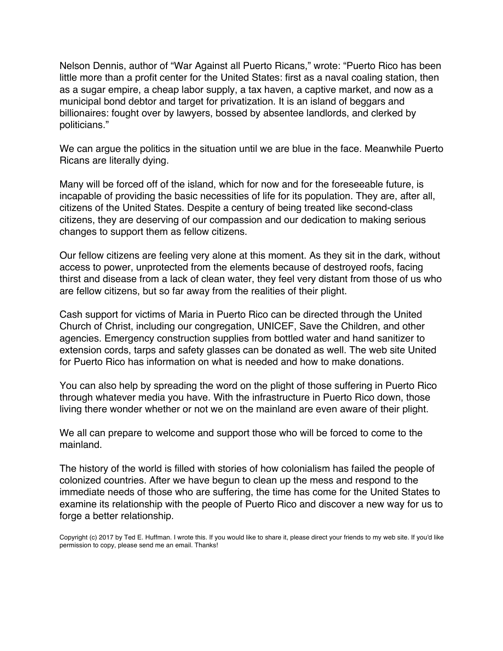Nelson Dennis, author of "War Against all Puerto Ricans," wrote: "Puerto Rico has been little more than a profit center for the United States: first as a naval coaling station, then as a sugar empire, a cheap labor supply, a tax haven, a captive market, and now as a municipal bond debtor and target for privatization. It is an island of beggars and billionaires: fought over by lawyers, bossed by absentee landlords, and clerked by politicians."

We can argue the politics in the situation until we are blue in the face. Meanwhile Puerto Ricans are literally dying.

Many will be forced off of the island, which for now and for the foreseeable future, is incapable of providing the basic necessities of life for its population. They are, after all, citizens of the United States. Despite a century of being treated like second-class citizens, they are deserving of our compassion and our dedication to making serious changes to support them as fellow citizens.

Our fellow citizens are feeling very alone at this moment. As they sit in the dark, without access to power, unprotected from the elements because of destroyed roofs, facing thirst and disease from a lack of clean water, they feel very distant from those of us who are fellow citizens, but so far away from the realities of their plight.

Cash support for victims of Maria in Puerto Rico can be directed through the United Church of Christ, including our congregation, UNICEF, Save the Children, and other agencies. Emergency construction supplies from bottled water and hand sanitizer to extension cords, tarps and safety glasses can be donated as well. The web site United for Puerto Rico has information on what is needed and how to make donations.

You can also help by spreading the word on the plight of those suffering in Puerto Rico through whatever media you have. With the infrastructure in Puerto Rico down, those living there wonder whether or not we on the mainland are even aware of their plight.

We all can prepare to welcome and support those who will be forced to come to the mainland.

The history of the world is filled with stories of how colonialism has failed the people of colonized countries. After we have begun to clean up the mess and respond to the immediate needs of those who are suffering, the time has come for the United States to examine its relationship with the people of Puerto Rico and discover a new way for us to forge a better relationship.

Copyright (c) 2017 by Ted E. Huffman. I wrote this. If you would like to share it, please direct your friends to my web site. If you'd like permission to copy, please send me an email. Thanks!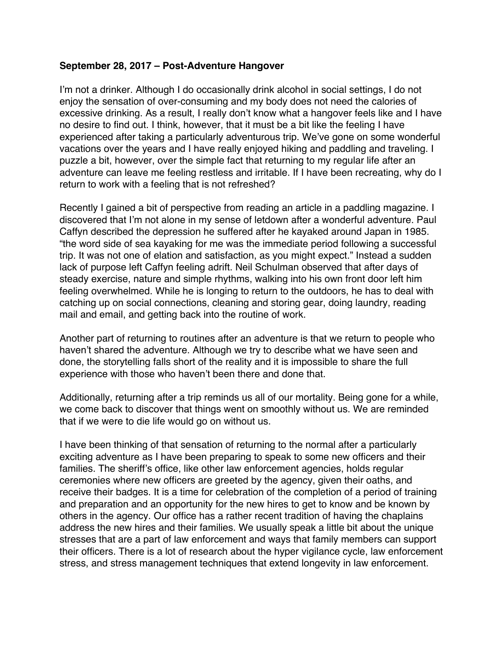### <span id="page-58-0"></span>**September 28, 2017 – Post-Adventure Hangover**

I'm not a drinker. Although I do occasionally drink alcohol in social settings, I do not enjoy the sensation of over-consuming and my body does not need the calories of excessive drinking. As a result, I really don't know what a hangover feels like and I have no desire to find out. I think, however, that it must be a bit like the feeling I have experienced after taking a particularly adventurous trip. We've gone on some wonderful vacations over the years and I have really enjoyed hiking and paddling and traveling. I puzzle a bit, however, over the simple fact that returning to my regular life after an adventure can leave me feeling restless and irritable. If I have been recreating, why do I return to work with a feeling that is not refreshed?

Recently I gained a bit of perspective from reading an article in a paddling magazine. I discovered that I'm not alone in my sense of letdown after a wonderful adventure. Paul Caffyn described the depression he suffered after he kayaked around Japan in 1985. "the word side of sea kayaking for me was the immediate period following a successful trip. It was not one of elation and satisfaction, as you might expect." Instead a sudden lack of purpose left Caffyn feeling adrift. Neil Schulman observed that after days of steady exercise, nature and simple rhythms, walking into his own front door left him feeling overwhelmed. While he is longing to return to the outdoors, he has to deal with catching up on social connections, cleaning and storing gear, doing laundry, reading mail and email, and getting back into the routine of work.

Another part of returning to routines after an adventure is that we return to people who haven't shared the adventure. Although we try to describe what we have seen and done, the storytelling falls short of the reality and it is impossible to share the full experience with those who haven't been there and done that.

Additionally, returning after a trip reminds us all of our mortality. Being gone for a while, we come back to discover that things went on smoothly without us. We are reminded that if we were to die life would go on without us.

I have been thinking of that sensation of returning to the normal after a particularly exciting adventure as I have been preparing to speak to some new officers and their families. The sheriff's office, like other law enforcement agencies, holds regular ceremonies where new officers are greeted by the agency, given their oaths, and receive their badges. It is a time for celebration of the completion of a period of training and preparation and an opportunity for the new hires to get to know and be known by others in the agency. Our office has a rather recent tradition of having the chaplains address the new hires and their families. We usually speak a little bit about the unique stresses that are a part of law enforcement and ways that family members can support their officers. There is a lot of research about the hyper vigilance cycle, law enforcement stress, and stress management techniques that extend longevity in law enforcement.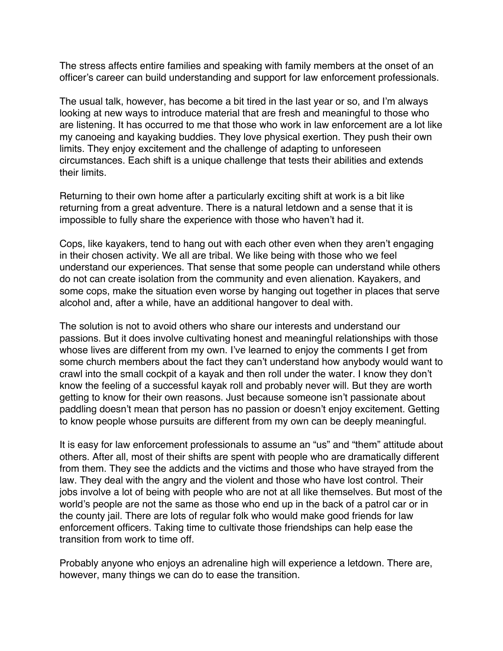The stress affects entire families and speaking with family members at the onset of an officer's career can build understanding and support for law enforcement professionals.

The usual talk, however, has become a bit tired in the last year or so, and I'm always looking at new ways to introduce material that are fresh and meaningful to those who are listening. It has occurred to me that those who work in law enforcement are a lot like my canoeing and kayaking buddies. They love physical exertion. They push their own limits. They enjoy excitement and the challenge of adapting to unforeseen circumstances. Each shift is a unique challenge that tests their abilities and extends their limits.

Returning to their own home after a particularly exciting shift at work is a bit like returning from a great adventure. There is a natural letdown and a sense that it is impossible to fully share the experience with those who haven't had it.

Cops, like kayakers, tend to hang out with each other even when they aren't engaging in their chosen activity. We all are tribal. We like being with those who we feel understand our experiences. That sense that some people can understand while others do not can create isolation from the community and even alienation. Kayakers, and some cops, make the situation even worse by hanging out together in places that serve alcohol and, after a while, have an additional hangover to deal with.

The solution is not to avoid others who share our interests and understand our passions. But it does involve cultivating honest and meaningful relationships with those whose lives are different from my own. I've learned to enjoy the comments I get from some church members about the fact they can't understand how anybody would want to crawl into the small cockpit of a kayak and then roll under the water. I know they don't know the feeling of a successful kayak roll and probably never will. But they are worth getting to know for their own reasons. Just because someone isn't passionate about paddling doesn't mean that person has no passion or doesn't enjoy excitement. Getting to know people whose pursuits are different from my own can be deeply meaningful.

It is easy for law enforcement professionals to assume an "us" and "them" attitude about others. After all, most of their shifts are spent with people who are dramatically different from them. They see the addicts and the victims and those who have strayed from the law. They deal with the angry and the violent and those who have lost control. Their jobs involve a lot of being with people who are not at all like themselves. But most of the world's people are not the same as those who end up in the back of a patrol car or in the county jail. There are lots of regular folk who would make good friends for law enforcement officers. Taking time to cultivate those friendships can help ease the transition from work to time off.

Probably anyone who enjoys an adrenaline high will experience a letdown. There are, however, many things we can do to ease the transition.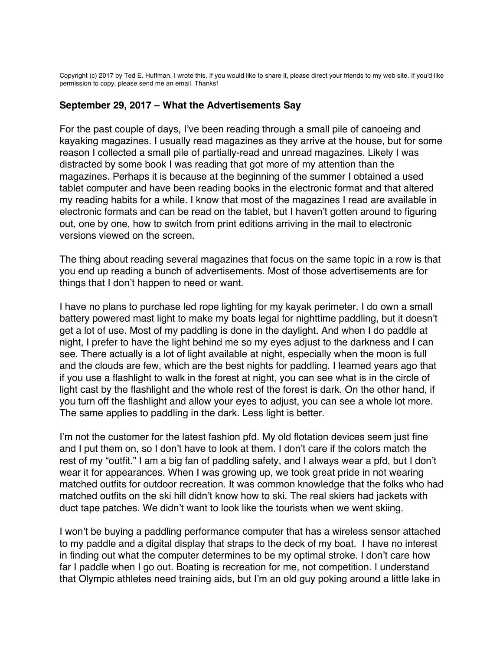<span id="page-60-0"></span>Copyright (c) 2017 by Ted E. Huffman. I wrote this. If you would like to share it, please direct your friends to my web site. If you'd like permission to copy, please send me an email. Thanks!

#### **September 29, 2017 – What the Advertisements Say**

For the past couple of days, I've been reading through a small pile of canoeing and kayaking magazines. I usually read magazines as they arrive at the house, but for some reason I collected a small pile of partially-read and unread magazines. Likely I was distracted by some book I was reading that got more of my attention than the magazines. Perhaps it is because at the beginning of the summer I obtained a used tablet computer and have been reading books in the electronic format and that altered my reading habits for a while. I know that most of the magazines I read are available in electronic formats and can be read on the tablet, but I haven't gotten around to figuring out, one by one, how to switch from print editions arriving in the mail to electronic versions viewed on the screen.

The thing about reading several magazines that focus on the same topic in a row is that you end up reading a bunch of advertisements. Most of those advertisements are for things that I don't happen to need or want.

I have no plans to purchase led rope lighting for my kayak perimeter. I do own a small battery powered mast light to make my boats legal for nighttime paddling, but it doesn't get a lot of use. Most of my paddling is done in the daylight. And when I do paddle at night, I prefer to have the light behind me so my eyes adjust to the darkness and I can see. There actually is a lot of light available at night, especially when the moon is full and the clouds are few, which are the best nights for paddling. I learned years ago that if you use a flashlight to walk in the forest at night, you can see what is in the circle of light cast by the flashlight and the whole rest of the forest is dark. On the other hand, if you turn off the flashlight and allow your eyes to adjust, you can see a whole lot more. The same applies to paddling in the dark. Less light is better.

I'm not the customer for the latest fashion pfd. My old flotation devices seem just fine and I put them on, so I don't have to look at them. I don't care if the colors match the rest of my "outfit." I am a big fan of paddling safety, and I always wear a pfd, but I don't wear it for appearances. When I was growing up, we took great pride in not wearing matched outfits for outdoor recreation. It was common knowledge that the folks who had matched outfits on the ski hill didn't know how to ski. The real skiers had jackets with duct tape patches. We didn't want to look like the tourists when we went skiing.

I won't be buying a paddling performance computer that has a wireless sensor attached to my paddle and a digital display that straps to the deck of my boat. I have no interest in finding out what the computer determines to be my optimal stroke. I don't care how far I paddle when I go out. Boating is recreation for me, not competition. I understand that Olympic athletes need training aids, but I'm an old guy poking around a little lake in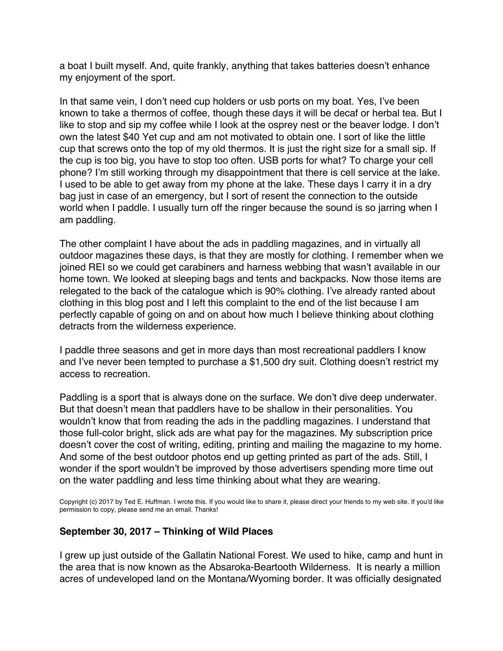a boat I built myself. And, quite frankly, anything that takes batteries doesn't enhance my enjoyment of the sport.

In that same vein, I don't need cup holders or usb ports on my boat. Yes, I've been known to take a thermos of coffee, though these days it will be decaf or herbal tea. But I like to stop and sip my coffee while I look at the osprey nest or the beaver lodge. I don't own the latest \$40 Yet cup and am not motivated to obtain one. I sort of like the little cup that screws onto the top of my old thermos. It is just the right size for a small sip. If the cup is too big, you have to stop too often. USB ports for what? To charge your cell phone? I'm still working through my disappointment that there is cell service at the lake. I used to be able to get away from my phone at the lake. These days I carry it in a dry bag just in case of an emergency, but I sort of resent the connection to the outside world when I paddle. I usually turn off the ringer because the sound is so jarring when I am paddling.

The other complaint I have about the ads in paddling magazines, and in virtually all outdoor magazines these days, is that they are mostly for clothing. I remember when we joined REI so we could get carabiners and harness webbing that wasn't available in our home town. We looked at sleeping bags and tents and backpacks. Now those items are relegated to the back of the catalogue which is 90% clothing. I've already ranted about clothing in this blog post and I left this complaint to the end of the list because I am perfectly capable of going on and on about how much I believe thinking about clothing detracts from the wilderness experience.

I paddle three seasons and get in more days than most recreational paddlers I know and I've never been tempted to purchase a \$1,500 dry suit. Clothing doesn't restrict my access to recreation.

Paddling is a sport that is always done on the surface. We don't dive deep underwater. But that doesn't mean that paddlers have to be shallow in their personalities. You wouldn't know that from reading the ads in the paddling magazines. I understand that those full-color bright, slick ads are what pay for the magazines. My subscription price doesn't cover the cost of writing, editing, printing and mailing the magazine to my home. And some of the best outdoor photos end up getting printed as part of the ads. Still, I wonder if the sport wouldn't be improved by those advertisers spending more time out on the water paddling and less time thinking about what they are wearing.

Copyright (c) 2017 by Ted E. Huffman. I wrote this. If you would like to share it, please direct your friends to my web site. If you'd like permission to copy, please send me an email. Thanks!

### **September 30, 2017 – Thinking of Wild Places**

I grew up just outside of the Gallatin National Forest. We used to hike, camp and hunt in the area that is now known as the Absaroka-Beartooth Wilderness. It is nearly a million acres of undeveloped land on the Montana/Wyoming border. It was officially designated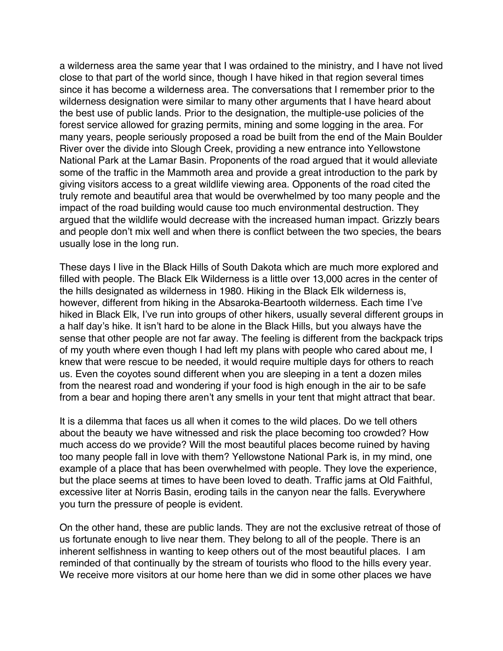<span id="page-62-0"></span>a wilderness area the same year that I was ordained to the ministry, and I have not lived close to that part of the world since, though I have hiked in that region several times since it has become a wilderness area. The conversations that I remember prior to the wilderness designation were similar to many other arguments that I have heard about the best use of public lands. Prior to the designation, the multiple-use policies of the forest service allowed for grazing permits, mining and some logging in the area. For many years, people seriously proposed a road be built from the end of the Main Boulder River over the divide into Slough Creek, providing a new entrance into Yellowstone National Park at the Lamar Basin. Proponents of the road argued that it would alleviate some of the traffic in the Mammoth area and provide a great introduction to the park by giving visitors access to a great wildlife viewing area. Opponents of the road cited the truly remote and beautiful area that would be overwhelmed by too many people and the impact of the road building would cause too much environmental destruction. They argued that the wildlife would decrease with the increased human impact. Grizzly bears and people don't mix well and when there is conflict between the two species, the bears usually lose in the long run.

These days I live in the Black Hills of South Dakota which are much more explored and filled with people. The Black Elk Wilderness is a little over 13,000 acres in the center of the hills designated as wilderness in 1980. Hiking in the Black Elk wilderness is, however, different from hiking in the Absaroka-Beartooth wilderness. Each time I've hiked in Black Elk, I've run into groups of other hikers, usually several different groups in a half day's hike. It isn't hard to be alone in the Black Hills, but you always have the sense that other people are not far away. The feeling is different from the backpack trips of my youth where even though I had left my plans with people who cared about me, I knew that were rescue to be needed, it would require multiple days for others to reach us. Even the coyotes sound different when you are sleeping in a tent a dozen miles from the nearest road and wondering if your food is high enough in the air to be safe from a bear and hoping there aren't any smells in your tent that might attract that bear.

It is a dilemma that faces us all when it comes to the wild places. Do we tell others about the beauty we have witnessed and risk the place becoming too crowded? How much access do we provide? Will the most beautiful places become ruined by having too many people fall in love with them? Yellowstone National Park is, in my mind, one example of a place that has been overwhelmed with people. They love the experience, but the place seems at times to have been loved to death. Traffic jams at Old Faithful, excessive liter at Norris Basin, eroding tails in the canyon near the falls. Everywhere you turn the pressure of people is evident.

On the other hand, these are public lands. They are not the exclusive retreat of those of us fortunate enough to live near them. They belong to all of the people. There is an inherent selfishness in wanting to keep others out of the most beautiful places. I am reminded of that continually by the stream of tourists who flood to the hills every year. We receive more visitors at our home here than we did in some other places we have